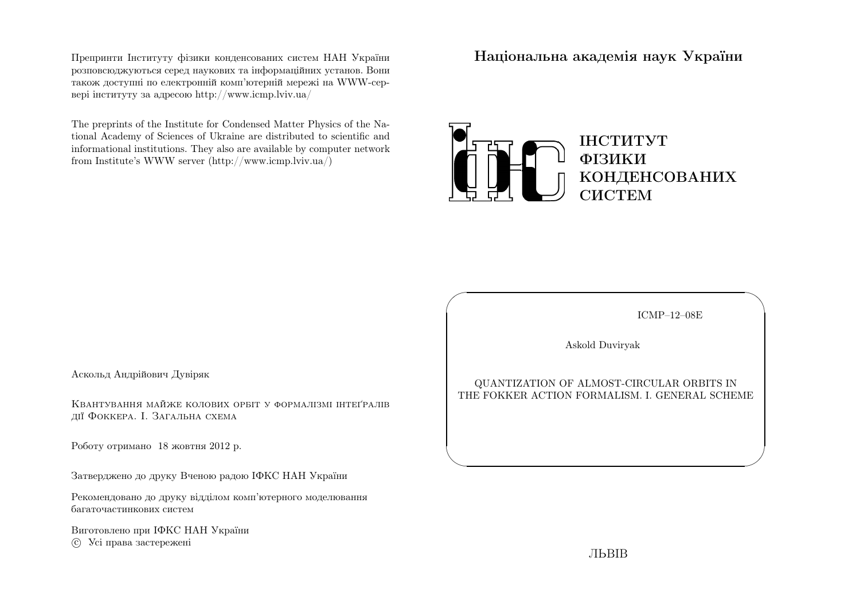Препринти Iнституту фiзики конденсованих систем НАН України розповсюджуються серед наукових та iнформацiйних установ. Вони також доступн<sup>i</sup> по електроннiй комп'ютернiй мереж<sup>i</sup> на WWW-сервер<sup>i</sup> iнституту за адресою http://www.icmp.lviv.ua/

The preprints of the Institute for Condensed Matter Physics of the National Academy of Sciences of Ukraine are distributed to scientific and informational institutions. They also are available by computer networkfrom Institute's WWW server (http://www.icmp.lviv.ua/)

Нацiональна академiя наук України



ICMP–12–08E

✩

 $\overline{\mathcal{S}}$ 

Askold Duviryak

 $\sqrt{2}$ 

 $\setminus$ 

QUANTIZATION OF ALMOST-CIRCULAR ORBITS INTHE FOKKER ACTION FORMALISM. I. GENERAL SCHEME

Аскольд Андрiйович Дувiряк

Квантування майже колових орбiт <sup>у</sup> формалiзмi iнтеґралiвдiї Фоккера. I. Загальна схема

Роботу отримано <sup>18</sup> жовтня <sup>2012</sup> р.

Затверджено до друку Вченою радою IФКС НАН України

Рекомендовано до друку вiддiлом комп'ютерного моделюваннябагаточастинкових систем

Виготовлено при IФКС НАН Україниc Усi права застережен<sup>i</sup>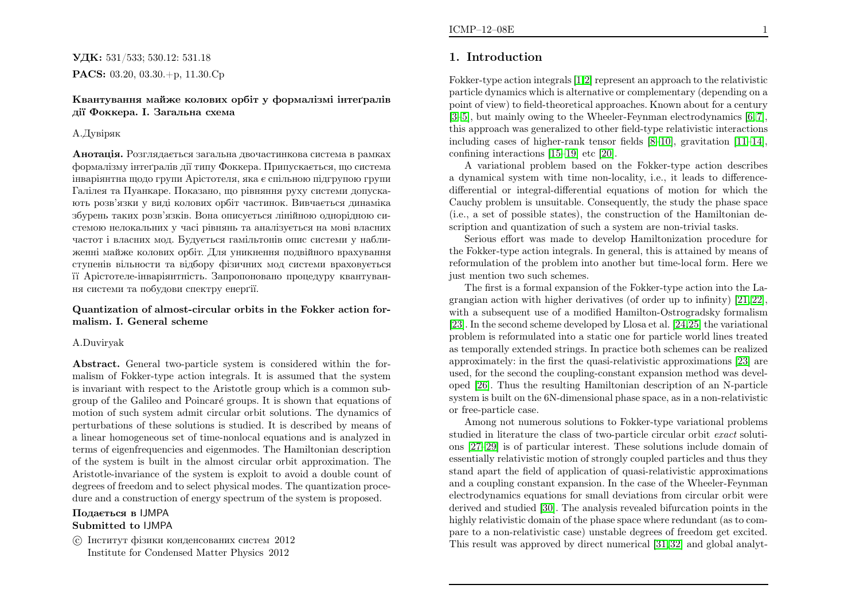# УДК: 531/533; 530.12: 531.18 $\mathbf{PACS:}\ 03.20,\,03.30.+p,\,11.30.Cp$

### Квантування майже колових орбiт <sup>у</sup> формалiзмi iнтеґралiвдiї Фоккера. I. Загальна схема

### А.Дувiряк

**Анотація.** Розглядається загальна двочастинкова система в рамках формалiзму iнтеґралiв дiї типу Фоккера. Припускається, що система iнварiянтна щодо групи Арiстотеля, яка <sup>є</sup> спiльною пiдгрупою групи Галiлея та Пуанкаре. Показано, що <sup>р</sup>iвняння руху системи допускають розв'язки <sup>у</sup> видi колових орбiт частинок. Вивчається динамiка збурень таких розв'язкiв. Вона описується лiнiйною однорiдною системою нелокальних <sup>у</sup> часi <sup>р</sup>iвнянь та аналiзується на мовi власних частот <sup>i</sup> власних мод. Будується гамiльтонiв опис системи <sup>у</sup> наближеннi майже колових орбiт. Для уникнення подвiйного врахування ступенiв вiльности та вiдбору фiзичних мод системи враховується її Арiстотеле-iнварiянтнiсть. Запропоновано процедуру квантування системи та побудови спектру енерґiї.

### Quantization of almost-circular orbits in the Fokker action formalism. I. General scheme

### A.Duviryak

Abstract. General two-particle system is considered within the formalism of Fokker-type action integrals. It is assumed that the system is invariant with respect to the Aristotle group which is <sup>a</sup> common subgroup of the Galileo and Poincar´e groups. It is shown that equations of motion of such system admit circular orbit solutions. The dynamics of perturbations of these solutions is studied. It is described by means of <sup>a</sup> linear homogeneous set of time-nonlocal equations and is analyzed in terms of eigenfrequencies and eigenmodes. The Hamiltonian description of the system is built in the almost circular orbit approximation. The Aristotle-invariance of the system is exploit to avoid <sup>a</sup> double count of degrees of freedom and to select <sup>p</sup>hysical modes. The quantization procedure and <sup>a</sup> construction of energy spectrum of the system is proposed.

# Подається <sup>в</sup> IJMPASubmitted to IJMPA

 $\odot$  Iнститут фізики конденсованих систем 2012 Institute for Condensed Matter Physics <sup>2012</sup>

# 1. Introduction

Fokker-type action integrals [\[1](#page-21-0)[,2\]](#page-21-1) represent an approac<sup>h</sup> to the relativistic particle dynamics which is alternative or complementary (depending on <sup>a</sup> point of view) to field-theoretical approaches. Known about for <sup>a</sup> century [\[3–](#page-21-2)[5\]](#page-21-3), but mainly owing to the Wheeler-Feynman electrodynamics [\[6](#page-21-4), [7\]](#page-21-5), this approac<sup>h</sup> was generalized to other field-type relativistic interactions including cases of higher-rank tensor fields [\[8–](#page-21-6)[10\]](#page-22-0), gravitation [\[11](#page-22-1)[–14\]](#page-22-2), confining interactions [\[15](#page-22-3)[–19\]](#page-22-4) etc [\[20\]](#page-22-5).

A variational problem based on the Fokker-type action describes <sup>a</sup> dynamical system with time non-locality, i.e., it leads to differencedifferential or integral-differential equations of motion for which the Cauchy problem is unsuitable. Consequently, the study the <sup>p</sup>hase space (i.e., <sup>a</sup> set of possible states), the construction of the Hamiltonian description and quantization of such <sup>a</sup> system are non-trivial tasks.

Serious effort was made to develop Hamiltonization procedure for the Fokker-type action integrals. In general, this is attained by means of reformulation of the problem into another but time-local form. Here wejust mention two such schemes.

The first is <sup>a</sup> formal expansion of the Fokker-type action into the Lagrangian action with higher derivatives (of order up to infinity) [\[21,](#page-22-6) [22\]](#page-22-7), with a subsequent use of a modified Hamilton-Ostrogradsky formalism [\[23\]](#page-22-8). In the second scheme developed by Llosa et al. [\[24](#page-22-9)[,25\]](#page-22-10) the variational problem is reformulated into <sup>a</sup> static one for particle world lines treated as temporally extended strings. In practice both schemes can be realized approximately: in the first the quasi-relativistic approximations [\[23\]](#page-22-8) are used, for the second the coupling-constant expansion method was developed [\[26\]](#page-22-11). Thus the resulting Hamiltonian description of an N-particle system is built on the 6N-dimensional <sup>p</sup>hase space, as in <sup>a</sup> non-relativisticor free-particle case.

Among not numerous solutions to Fokker-type variational problemsstudied in literature the class of two-particle circular orbit *exact* solutions [\[27–](#page-22-12)[29\]](#page-22-13) is of particular interest. These solutions include domain of essentially relativistic motion of strongly coupled particles and thus they stand apart the field of application of quasi-relativistic approximations and <sup>a</sup> coupling constant expansion. In the case of the Wheeler-Feynman electrodynamics equations for small deviations from circular orbit were derived and studied [\[30\]](#page-22-14). The analysis revealed bifurcation points in the highly relativistic domain of the <sup>p</sup>hase space where redundant (as to compare to <sup>a</sup> non-relativistic case) unstable degrees of freedom get excited. This result was approved by direct numerical [\[31](#page-22-15), [32\]](#page-22-16) and <sup>g</sup>lobal analyt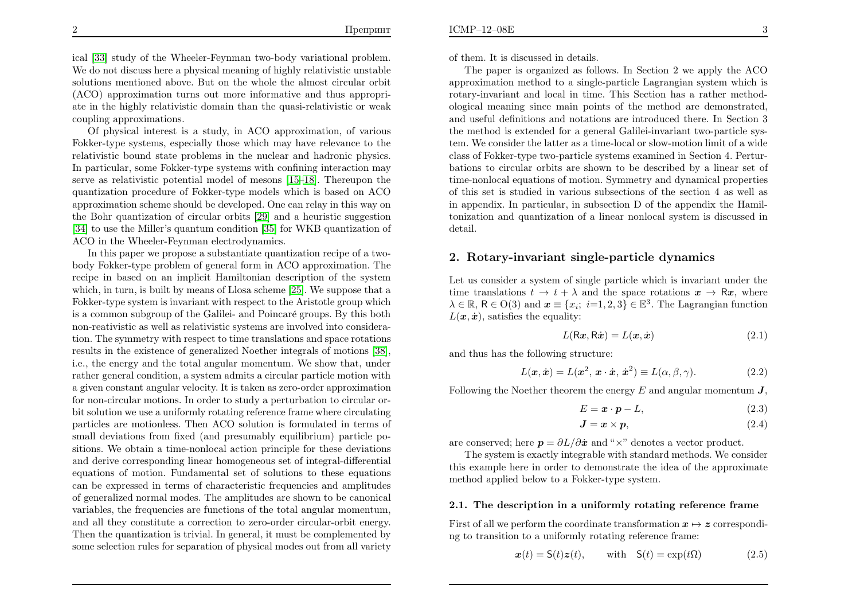ical [\[33\]](#page-22-17) study of the Wheeler-Feynman two-body variational problem. We do not discuss here <sup>a</sup> <sup>p</sup>hysical meaning of highly relativistic unstable solutions mentioned above. But on the whole the almost circular orbit (ACO) approximation turns out more informative and thus appropriate in the highly relativistic domain than the quasi-relativistic or weakcoupling approximations.

Of <sup>p</sup>hysical interest is <sup>a</sup> study, in ACO approximation, of various Fokker-type systems, especially those which may have relevance to the relativistic bound state problems in the nuclear and hadronic <sup>p</sup>hysics. In particular, some Fokker-type systems with confining interaction may serve as relativistic potential model of mesons [\[15–](#page-22-3)[18\]](#page-22-18). Thereupon the quantization procedure of Fokker-type models which is based on ACO approximation scheme should be developed. One can relay in this way on the Bohr quantization of circular orbits [\[29\]](#page-22-13) and <sup>a</sup> heuristic suggestion [\[34\]](#page-22-19) to use the Miller's quantum condition [\[35\]](#page-22-20) for WKB quantization of ACO in the Wheeler-Feynman electrodynamics.

<span id="page-2-0"></span>In this paper we propose <sup>a</sup> substantiate quantization recipe of <sup>a</sup> twobody Fokker-type problem of genera<sup>l</sup> form in ACO approximation. The recipe in based on an implicit Hamiltonian description of the system which, in turn, is built by means of Llosa scheme [\[25\]](#page-22-10). We suppose that <sup>a</sup> Fokker-type system is invariant with respect to the Aristotle group whichis a common subgroup of the Galilei- and Poincaré groups. By this both non-reativistic as well as relativistic systems are involved into consideration. The symmetry with respect to time translations and space rotations results in the existence of generalized Noether integrals of motions [\[38\]](#page-22-21), i.e., the energy and the total angular momentum. We show that, under rather genera<sup>l</sup> condition, <sup>a</sup> system admits <sup>a</sup> circular particle motion with <sup>a</sup> <sup>g</sup>iven constant angular velocity. It is taken as zero-order approximation for non-circular motions. In order to study <sup>a</sup> perturbation to circular orbit solution we use <sup>a</sup> uniformly rotating reference frame where circulating particles are motionless. Then ACO solution is formulated in terms of small deviations from fixed (and presumably equilibrium) particle positions. We obtain <sup>a</sup> time-nonlocal action principle for these deviations and derive corresponding linear homogeneous set of integral-differential equations of motion. Fundamental set of solutions to these equations can be expressed in terms of characteristic frequencies and amplitudes of generalized normal modes. The amplitudes are shown to be canonical variables, the frequencies are functions of the total angular momentum, and all they constitute <sup>a</sup> correction to zero-order circular-orbit energy. Then the quantization is trivial. In general, it must be complemented bysome selection rules for separation of <sup>p</sup>hysical modes out from all variety

of them. It is discussed in details.

The paper is organized as follows. In Section <sup>2</sup> we apply the ACO approximation method to <sup>a</sup> single-particle Lagrangian system which is rotary-invariant and local in time. This Section has <sup>a</sup> rather methodological meaning since main points of the method are demonstrated, and useful definitions and notations are introduced there. In Section <sup>3</sup> the method is extended for <sup>a</sup> genera<sup>l</sup> Galilei-invariant two-particle system. We consider the latter as <sup>a</sup> time-local or slow-motion limit of <sup>a</sup> wide class of Fokker-type two-particle systems examined in Section 4. Perturbations to circular orbits are shown to be described by <sup>a</sup> linear set of time-nonlocal equations of motion. Symmetry and dynamical properties of this set is studied in various subsections of the section <sup>4</sup> as well as in appendix. In particular, in subsection <sup>D</sup> of the appendix the Hamiltonization and quantization of <sup>a</sup> linear nonlocal system is discussed indetail.

# <span id="page-2-3"></span><span id="page-2-2"></span><span id="page-2-1"></span>2. Rotary-invariant single-particle dynamics

Let us consider <sup>a</sup> system of single particle which is invariant under thetime translations  $t \to t + \lambda$  and the space rotations  $x \to Rx$ , where time translations  $t \to t + \lambda$  and the space rotations  $\mathbf{x} \to \mathbf{R}\mathbf{x}$ , where  $\lambda \in \mathbb{R}$ ,  $\mathsf{R} \in \mathrm{O}(3)$  and  $\mathbf{x} \equiv \{x_i; i=1,2,3\} \in \mathbb{E}^3$ . The Lagrangian function  $L(\boldsymbol{x}, \dot{\boldsymbol{x}})$ , satisfies the equality: ;

$$
L(Rx, R\dot{x}) = L(x, \dot{x})
$$
\n(2.1)

and thus has the following structure:

$$
L(\mathbf{x}, \dot{\mathbf{x}}) = L(\mathbf{x}^2, \mathbf{x} \cdot \dot{\mathbf{x}}, \dot{\mathbf{x}}^2) \equiv L(\alpha, \beta, \gamma).
$$
 (2.2)

Following the Noether theorem the energy  $E$  and angular momentum  $\boldsymbol{J},$ 

$$
E = \mathbf{x} \cdot \mathbf{p} - L,\tag{2.3}
$$

$$
J = x \times p,\tag{2.4}
$$

are conserved; here  $p = \partial L / \partial x$  and " $\times$ " denotes a vector product.

 The system is exactly integrable with standard methods. We consider this example here in order to demonstrate the idea of the approximatemethod applied below to <sup>a</sup> Fokker-type system.

### 2.1. The description in <sup>a</sup> uniformly rotating reference frame

First of all we perform the coordinate transformation  $x\mapsto z$  correspondi-ng to transition to <sup>a</sup> uniformly rotating reference frame:

$$
\boldsymbol{x}(t) = \mathsf{S}(t)\boldsymbol{z}(t), \qquad \text{with} \quad \mathsf{S}(t) = \exp(t\Omega) \tag{2.5}
$$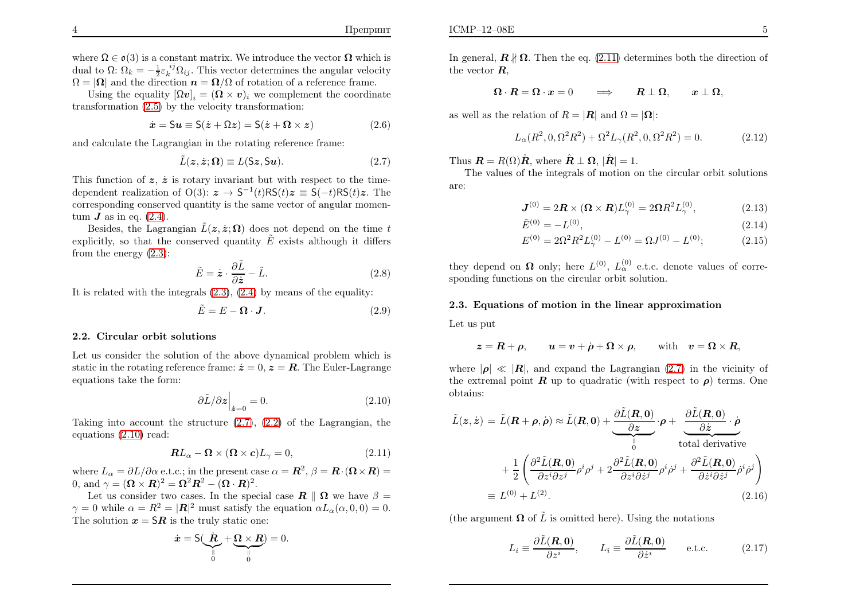where  $\Omega \in \mathfrak{o}(3)$  is a constant matrix. We introduce the vector  $\Omega$  which is dual to  $\Omega$ :  $\Omega_k = -\frac{1}{2} \varepsilon_k^{ij} \Omega_{ij}$ . This vector determines the angular velocity  $\Omega = |\Omega|$  and the direction  $n = \Omega/\Omega$  of rotation of a reference frame.

Using the equality  $[\Omega v]_i = (\Omega \times v)_i$  we complement the coordinate transformation [\(2.5\)](#page-2-0) by the velocity transformation:

$$
\dot{x} = S u \equiv S(\dot{z} + \Omega z) = S(\dot{z} + \Omega \times z) \tag{2.6}
$$

and calculate the Lagrangian in the rotating reference frame:

<span id="page-3-7"></span>
$$
\tilde{L}(\mathbf{z}, \dot{\mathbf{z}}; \mathbf{\Omega}) \equiv L(\mathsf{S}\mathbf{z}, \mathsf{S}\mathbf{u}).\tag{2.7}
$$

This function of  $z, \dot{z}$  is rotary invariant but with respect to the timedependent realization of  $O(3)$ :  $\boldsymbol{z} \to S^{-1}(t)RS(t)\boldsymbol{z} \equiv S(-t)RS(t)\boldsymbol{z}$ . The corresponding conserved quantity is the same vector of angular momentum  $J$  as in eq.  $(2.4)$ .

Besides, the Lagrangian  $\tilde{L}(\boldsymbol{z}, \dot{\boldsymbol{z}}; \boldsymbol{\Omega})$  does not depend on the time t explicitly, so that the conserved quantity  $\tilde{E}$  exists although it differs from the energy [\(2.3\)](#page-2-1):

$$
\tilde{E} = \dot{\mathbf{z}} \cdot \frac{\partial \tilde{L}}{\partial \dot{\mathbf{z}}} - \tilde{L}.
$$
\n(2.8)

It is related with the integrals [\(2.3\)](#page-2-1), [\(2.4\)](#page-2-1) by means of the equality:

$$
\tilde{E} = E - \mathbf{\Omega} \cdot \mathbf{J}.
$$
 (2.9)

#### 2.2. Circular orbit solutions

Let us consider the solution of the above dynamical problem which isstatic in the rotating reference frame:  $\dot{z} = 0$ ,  $z = R$ . The Euler-Lagrange equations take the form:

$$
\left. \partial \tilde{L} / \partial z \right|_{\dot{z}=0} = 0. \tag{2.10}
$$

Taking into account the structure  $(2.7)$ ,  $(2.2)$  of the Lagrangian, the equations [\(2.10\)](#page-3-1) read:

$$
\mathbf{R}L_{\alpha} - \mathbf{\Omega} \times (\mathbf{\Omega} \times \mathbf{c})L_{\gamma} = 0, \tag{2.11}
$$

where  $L_{\alpha} = \partial L / \partial \alpha$  e.t.c.; in the present case  $\alpha = \mathbf{R}^2$ ,  $\beta = \mathbf{R} \cdot (\mathbf{\Omega} \times \mathbf{R}) =$  $\frac{e}{\cdot} L_{\alpha} =$ 0, and  $\gamma = (\mathbf{\Omega} \times \mathbf{R})^2 = \mathbf{\Omega}^2 \mathbf{R}^2 - (\mathbf{\Omega} \cdot \mathbf{R})^2$ .

Let us consider two cases. In the special case  $\mathbf{R} \parallel \mathbf{\Omega}$  we have  $\beta =$  $\gamma = 0$  while  $\alpha = R^2 = |\mathbf{R}|^2$  must satisfy the equation  $\alpha L_\alpha(\alpha, 0, 0) = 0$ . The solution  $x=SR$  is the truly static one:

$$
\dot{\boldsymbol{x}} = \mathsf{S}(\underbrace{\dot{\boldsymbol{R}}}_{0} + \underbrace{\boldsymbol{\Omega} \times \boldsymbol{R}}_{0}) = 0.
$$

In general,  $\mathbf{R} \nparallel \mathbf{\Omega}$ . Then the eq. [\(2.11\)](#page-3-2) determines both the direction of the vector  $R$ ,

$$
\mathbf{\Omega} \cdot \mathbf{R} = \mathbf{\Omega} \cdot \mathbf{x} = 0 \qquad \Longrightarrow \qquad \mathbf{R} \perp \mathbf{\Omega}, \qquad \mathbf{x} \perp \mathbf{\Omega},
$$

as well as the relation of  $R = |\mathbf{R}|$  and  $\Omega = |\mathbf{\Omega}|$ :

$$
L_{\alpha}(R^2, 0, \Omega^2 R^2) + \Omega^2 L_{\gamma}(R^2, 0, \Omega^2 R^2) = 0.
$$
 (2.12)

Thus  $\mathbf{R} = R(\Omega)\hat{\mathbf{R}}$ , where  $\hat{\mathbf{R}} \perp \mathbf{\Omega}$ ,  $|\hat{\mathbf{R}}| = 1$ .

 The values of the integrals of motion on the circular orbit solutionsare:

<span id="page-3-4"></span><span id="page-3-3"></span>
$$
\mathbf{J}^{(0)} = 2\mathbf{R} \times (\mathbf{\Omega} \times \mathbf{R})L_{\gamma}^{(0)} = 2\mathbf{\Omega} R^2 L_{\gamma}^{(0)},\tag{2.13}
$$

<span id="page-3-0"></span>
$$
\tilde{E}^{(0)} = -L^{(0)},\tag{2.14}
$$

<span id="page-3-6"></span><span id="page-3-5"></span>
$$
E^{(0)} = 2\Omega^2 R^2 L_{\gamma}^{(0)} - L^{(0)} = \Omega J^{(0)} - L^{(0)};
$$
\n(2.15)

<span id="page-3-2"></span><span id="page-3-1"></span>they depend on  $\Omega$  only; here  $L^{(0)}$ ,  $L^{(0)}_{\alpha}$  e.t.c. denote values of corresponding functions on the circular orbit solution.

#### 2.3. Equations of motion in the linear approximation

Let us put

$$
\boldsymbol{z} = \boldsymbol{R} + \boldsymbol{\rho}, \qquad \boldsymbol{u} = \boldsymbol{v} + \dot{\boldsymbol{\rho}} + \boldsymbol{\Omega} \times \boldsymbol{\rho}, \qquad \text{with} \quad \boldsymbol{v} = \boldsymbol{\Omega} \times \boldsymbol{R},
$$

where  $|\rho| \ll |R|$ , and expand the Lagrangian [\(2.7\)](#page-3-0) in the vicinity of the extremal point  $\boldsymbol{R}$  up to quadratic (with respect to  $\rho$ ) terms. One obtains:

$$
\tilde{L}(z, \dot{z}) = \tilde{L}(\mathbf{R} + \boldsymbol{\rho}, \dot{\boldsymbol{\rho}}) \approx \tilde{L}(\mathbf{R}, 0) + \underbrace{\frac{\partial \tilde{L}(\mathbf{R}, 0)}{\partial z}}_{0} \cdot \boldsymbol{\rho} + \underbrace{\frac{\partial \tilde{L}(\mathbf{R}, 0)}{\partial \dot{z}} \cdot \dot{\boldsymbol{\rho}}}_{\text{total derivative}}
$$
\n
$$
+ \frac{1}{2} \left( \frac{\partial^2 \tilde{L}(\mathbf{R}, 0)}{\partial z^i \partial z^j} \rho^i \rho^j + 2 \frac{\partial^2 \tilde{L}(\mathbf{R}, 0)}{\partial z^i \partial \dot{z}^j} \rho^i \dot{\rho}^j + \frac{\partial^2 \tilde{L}(\mathbf{R}, 0)}{\partial \dot{z}^i \partial \dot{z}^j} \dot{\rho}^i \dot{\rho}^j \right)
$$
\n
$$
\equiv L^{(0)} + L^{(2)}.
$$
\n(2.16)

(the argument  $\Omega$  of  $\tilde{L}$  is omitted here). Using the notations

$$
L_i \equiv \frac{\partial \tilde{L}(\mathbf{R}, \mathbf{0})}{\partial z^i}, \qquad L_i \equiv \frac{\partial \tilde{L}(\mathbf{R}, \mathbf{0})}{\partial \dot{z}^i} \qquad \text{e.t.c.} \tag{2.17}
$$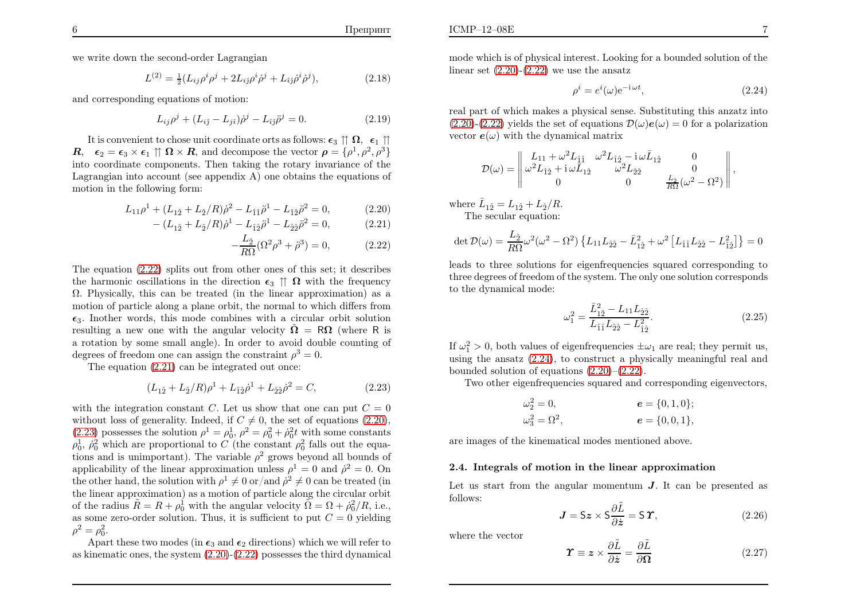we write down the second-order Lagrangian

$$
L^{(2)} = \frac{1}{2} (L_{ij}\rho^i \rho^j + 2L_{ij}\rho^i \dot{\rho}^j + L_{\hat{i}\hat{j}}\dot{\rho}^i \dot{\rho}^j),
$$
 (2.18)

and corresponding equations of motion:

$$
L_{ij}\rho^{j} + (L_{i\hat{j}} - L_{j\hat{i}})\dot{\rho}^{j} - L_{\hat{i}\hat{j}}\ddot{\rho}^{j} = 0.
$$
 (2.19)

It is convenient to chose unit coordinate orts as follows:  $\epsilon_3 \uparrow \Omega$ ,  $\epsilon_1 \uparrow \Omega$  $\mathbf{R}, \quad \epsilon_2 = \epsilon_3 \times \epsilon_1 \uparrow \mathbf{\Omega} \times \mathbf{R}, \text{ and decompose the vector } \boldsymbol{\rho} = \{\rho^1, \rho^2, \rho^3\}$  into coordinate components. Then taking the rotary invariance of the Lagrangian into account (see appendix A) one obtains the equations of motion in the following form:

$$
L_{11}\rho^{1} + (L_{12} + L_{2}/R)\dot{\rho}^{2} - L_{\hat{1}\hat{1}}\ddot{\rho}^{1} - L_{\hat{1}2}\ddot{\rho}^{2} = 0, \qquad (2.20)
$$

$$
- (L_{1\hat{2}} + L_{\hat{2}}/R)\dot{\rho}^{1} - L_{\hat{1}\hat{2}}\ddot{\rho}^{1} - L_{\hat{2}\hat{2}}\ddot{\rho}^{2} = 0, \qquad (2.21)
$$

<span id="page-4-3"></span>
$$
-\frac{L_2}{R\Omega}(\Omega^2 \rho^3 + \ddot{\rho}^3) = 0, \qquad (2.22)
$$

 The equation [\(2.22\)](#page-4-0) splits out from other ones of this set; it describesthe harmonic oscillations in the direction  $\epsilon_3 \uparrow \uparrow \Omega$  with the frequency <sup>Ω</sup>. Physically, this can be treated (in the linear approximation) as <sup>a</sup> motion of particle along <sup>a</sup> <sup>p</sup>lane orbit, the normal to which differs from $\epsilon_3$ . Inother words, this mode combines with a circular orbit solution resulting a new one with the angular velocity  $\tilde{\Omega} = R\Omega$  (where R is <sup>a</sup> rotation by some small angle). In order to avoid double counting of degrees of freedom one can assign the constraint  $\rho^3 = 0$ .

The equation [\(2.21](#page-4-0)) can be integrated out once:

$$
(L_{1\hat{2}} + L_{\hat{2}}/R)\rho^{1} + L_{\hat{1}\hat{2}}\dot{\rho}^{1} + L_{\hat{2}\hat{2}}\dot{\rho}^{2} = C,
$$
\n(2.23)

with the integration constant C. Let us show that one can put  $C = 0$ without loss of generality. Indeed, if  $C \neq 0$ , the set of equations [\(2.20\)](#page-4-0), [\(2.23\)](#page-4-1) possesses the solution  $\rho^1 = \rho_0^1$ ,  $\rho^2 = \rho_0^2 + \rho_0^2 t$  with some constants  $\rho_0^1$ ,  $\rho_0^2$  which are proportional to C (the constant  $\rho_0^2$  falls out the equations and is unimportant). The variable  $\rho^2$  grows beyond all bounds of applicability of the linear approximation unless  $\rho^1 = 0$  and  $\rho^2 = 0$ . On the other hand, the solution with  $\rho^1 \neq 0$  or/and  $\dot{\rho}^2 \neq 0$  can be treated (in the linear approximation) as <sup>a</sup> motion of particle along the circular orbitof the radius  $\tilde{R} = R + \rho_0^1$  with the angular velocity  $\tilde{\Omega} = \Omega + \rho_0^2/R$ , i.e., as some zero-order solution. Thus, it is sufficient to put  $C = 0$  yielding  $\rho^2 = \rho_0^2$ .

Apart these two modes (in  $\epsilon_3$  and  $\epsilon_2$  directions) which we will refer to as kinematic ones, the system [\(2.20\)](#page-4-0)-[\(2.22\)](#page-4-0) possesses the third dynamical mode which is of <sup>p</sup>hysical interest. Looking for <sup>a</sup> bounded solution of thelinear set  $(2.20)-(2.22)$  $(2.20)-(2.22)$  $(2.20)-(2.22)$  we use the ansatz

<span id="page-4-0"></span>
$$
\rho^i = e^i(\omega)e^{-i\omega t},\qquad(2.24)
$$

real part of which makes <sup>a</sup> <sup>p</sup>hysical sense. Substituting this anzatz into $(2.20)-(2.22)$  $(2.20)-(2.22)$  $(2.20)-(2.22)$  yields the set of equations  $\mathcal{D}(\omega)e(\omega) = 0$  for a polarization vector  $e(\omega)$  with the dynamical matrix

$$
\mathcal{D}(\omega) = \begin{vmatrix} L_{11} + \omega^2 L_{\hat{1}\hat{1}} & \omega^2 L_{\hat{1}\hat{2}} - \mathrm{i} \,\omega \bar{L}_{1\hat{2}} & 0 \\ \omega^2 L_{\hat{1}\hat{2}} + \mathrm{i} \,\omega \bar{L}_{1\hat{2}} & \omega^2 L_{\hat{2}\hat{2}} & 0 \\ 0 & 0 & \frac{L_{\hat{2}}}{R\Omega} (\omega^2 - \Omega^2) \end{vmatrix},
$$

<span id="page-4-1"></span>where  $\bar{L}_{1\hat{2}} = L_{1\hat{2}} + L_{\hat{2}}/R$ . The secular equation:

<span id="page-4-4"></span>
$$
\det \mathcal{D}(\omega) = \frac{L_{\hat{2}}}{R\Omega} \omega^2 (\omega^2 - \Omega^2) \left\{ L_{11} L_{\hat{2}\hat{2}} - \bar{L}_{1\hat{2}}^2 + \omega^2 \left[ L_{\hat{1}\hat{1}} L_{\hat{2}\hat{2}} - L_{\hat{1}\hat{2}}^2 \right] \right\} = 0
$$

 leads to three solutions for eigenfrequencies squared corresponding to three degrees of freedom of the system. The only one solution corresponds to the dynamical mode:

<span id="page-4-5"></span><span id="page-4-2"></span>
$$
\omega_1^2 = \frac{\bar{L}_{12}^2 - L_{11}L_{22}}{L_{11}L_{22} - L_{12}^2}.\tag{2.25}
$$

If  $\omega_1^2 > 0$ , both values of eigenfrequencies  $\pm \omega_1$  are real; they permit us, using the ansatz [\(2.24\)](#page-4-2), to construct <sup>a</sup> <sup>p</sup>hysically meaningful real andbounded solution of equations [\(2.20\)](#page-4-0)–[\(2.22\)](#page-4-0).

Two other eigenfrequencies squared and corresponding eigenvectors,

$$
\omega_2^2 = 0, \n\omega_3^2 = \Omega^2, \ne = \{0, 1, 0\}; \ne = \{0, 0, 1\},
$$

are images of the kinematical modes mentioned above.

#### 2.4. Integrals of motion in the linear approximation

Let us start from the angular momentum  $J$ . It can be presented as follows:

$$
\mathbf{J} = \mathsf{S}z \times \mathsf{S} \frac{\partial \tilde{L}}{\partial \dot{z}} = \mathsf{S} \,\mathbf{\Upsilon},\tag{2.26}
$$

where the vector

$$
\Upsilon \equiv z \times \frac{\partial \tilde{L}}{\partial \dot{z}} = \frac{\partial \tilde{L}}{\partial \Omega} \tag{2.27}
$$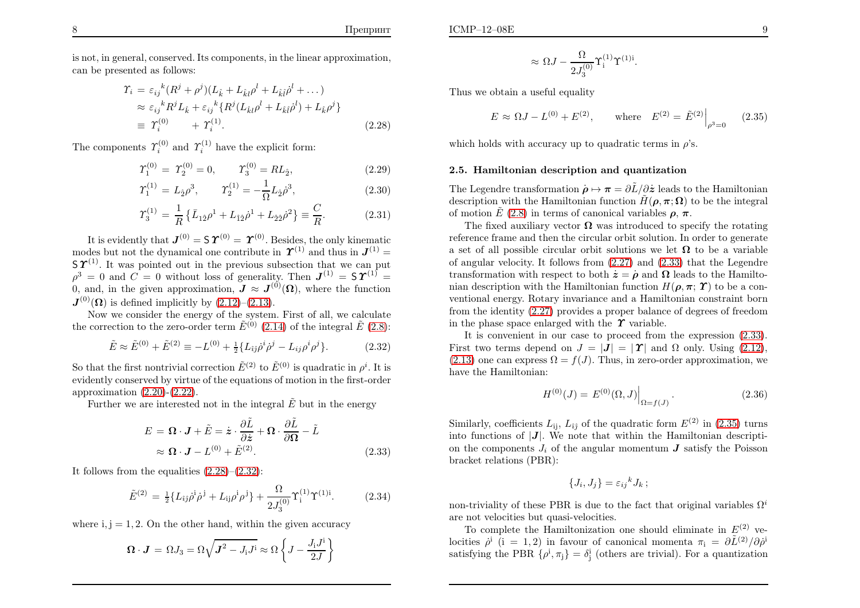is not, in general, conserved. Its components, in the linear approximation, can be presented as follows:

$$
\begin{split} \Upsilon_i &= \varepsilon_{ij}{}^k (R^j + \rho^j)(L_{\hat{k}} + L_{\hat{k}l}\rho^l + L_{\hat{k}l}\dot{\rho}^l + \dots) \\ &\approx \varepsilon_{ij}{}^k R^j L_{\hat{k}} + \varepsilon_{ij}{}^k \{R^j (L_{\hat{k}l}\rho^l + L_{\hat{k}l}\dot{\rho}^l) + L_{\hat{k}}\rho^j\} \\ &\equiv \Upsilon_i^{(0)} \qquad + \Upsilon_i^{(1)}. \end{split} \tag{2.28}
$$

The components  $\Upsilon_i^{(0)}$  and  $\Upsilon_i^{(1)}$  have the explicit form:

$$
\Upsilon_1^{(0)} = \Upsilon_2^{(0)} = 0, \qquad \Upsilon_3^{(0)} = R L_{\hat{2}}, \tag{2.29}
$$

$$
\Upsilon_1^{(1)} = L_2 \rho^3, \qquad \Upsilon_2^{(1)} = -\frac{1}{\Omega} L_2 \dot{\rho}^3, \tag{2.30}
$$

$$
\Upsilon_3^{(1)} = \frac{1}{R} \left\{ \bar{L}_{1\hat{2}} \rho^1 + L_{\hat{1}\hat{2}} \dot{\rho}^1 + L_{\hat{2}\hat{2}} \dot{\rho}^2 \right\} \equiv \frac{C}{R}.
$$
 (2.31)

It is evidently that  $\boldsymbol{J}^{(0)}=\boldsymbol{\mathsf{S}} \, \boldsymbol{\varUpsilon}^{(0)}=\boldsymbol{\varUpsilon}^{(0)}.$  Besides, the only kinematic modes but not the dynamical one contribute in  $\boldsymbol{\Upsilon}^{(1)}$  and thus in  $\boldsymbol{J}^{(1)}$  =  $S\,\boldsymbol{\varUpsilon}^{(1)}$ . It was pointed out in the previous subsection that we can put  $\rho^3 = 0$  and  $C = 0$  without loss of generality. Then  $J^{(1)} = \mathsf{S} \Upsilon^{(1)} =$ 0, and, in the given approximation,  $J \approx J^{(0)}(\Omega)$ , where the function  $J^{(0)}(\Omega)$  is defined implicitly by  $(2.12)$ – $(2.13)$ .

Now we consider the energy of the system. First of all, we calculatethe correction to the zero-order term  $\tilde{E}^{(0)}$  [\(2.14\)](#page-3-4) of the integral  $\tilde{E}$  [\(2.8\)](#page-3-5):

$$
\tilde{E} \approx \tilde{E}^{(0)} + \tilde{E}^{(2)} \equiv -L^{(0)} + \frac{1}{2} \{ L_{\hat{i}\hat{j}} \dot{\rho}^i \dot{\rho}^j - L_{ij} \rho^i \rho^j \}.
$$
 (2.32)

So that the first nontrivial correction  $\tilde{E}^{(2)}$  to  $\tilde{E}^{(0)}$  is quadratic in  $\rho^i$ . It is evidently conserved by virtue of the equations of motion in the first-orderapproximation  $(2.20)-(2.22)$  $(2.20)-(2.22)$  $(2.20)-(2.22)$ .

Further we are interested not in the integral  $\tilde{E}$  but in the energy

$$
E = \mathbf{\Omega} \cdot \mathbf{J} + \tilde{E} = \dot{\mathbf{z}} \cdot \frac{\partial \tilde{L}}{\partial \dot{\mathbf{z}}} + \mathbf{\Omega} \cdot \frac{\partial \tilde{L}}{\partial \mathbf{\Omega}} - \tilde{L}
$$
  

$$
\approx \mathbf{\Omega} \cdot \mathbf{J} - L^{(0)} + \tilde{E}^{(2)}.
$$
 (2.33)

It follows from the equalities  $(2.28)$ – $(2.32)$ :

$$
\tilde{E}^{(2)} = \frac{1}{2} \{ L_{\hat{i}\hat{j}} \dot{\rho}^{\hat{i}} \dot{\rho}^{\hat{j}} + L_{\hat{i}\hat{j}} \rho^{\hat{i}} \rho^{\hat{j}} \} + \frac{\Omega}{2J_3^{(0)}} \Upsilon_i^{(1)} \Upsilon_i^{(1)i}.
$$
 (2.34)

where  $i, j = 1, 2$ . On the other hand, within the given accuracy

$$
\Omega \cdot J = \Omega J_3 = \Omega \sqrt{J^2 - J_i J^i} \approx \Omega \left\{ J - \frac{J_i J^i}{2J} \right\}
$$

<span id="page-5-3"></span><span id="page-5-0"></span>
$$
\approx \Omega J - \frac{\Omega}{2J_3^{(0)}} \Upsilon^{(1)}_i \Upsilon^{(1)i}.
$$

Thus we obtain <sup>a</sup> useful equality

$$
E \approx \Omega J - L^{(0)} + E^{(2)}, \quad \text{where} \quad E^{(2)} = \tilde{E}^{(2)} \Big|_{\rho^3 = 0} \quad (2.35)
$$

which holds with accuracy up to quadratic terms in  $\rho$ 's.

#### <span id="page-5-1"></span>2.5. Hamiltonian description and quantization

<span id="page-5-2"></span>The Legendre transformation  $\dot{\rho} \mapsto \pi = \partial \tilde{L}/\partial \dot{z}$  leads to the Hamiltonian description with the Hamiltonian function  $\tilde{H}(\boldsymbol{\rho},\boldsymbol{\pi};\boldsymbol{\Omega})$  to be the integral of motion  $\tilde{E}$  [\(2.8\)](#page-3-5) in terms of canonical variables  $\rho$ ,  $\pi$ .

<span id="page-5-4"></span>The fixed auxiliary vector  $\Omega$  was introduced to specify the rotating names frame and than the simular split solution. In ander to separate reference frame and then the circular orbit solution. In order to generatea set of all possible circular orbit solutions we let  $\Omega$  to be a variable<br>of angular valentiar It follows from (2.27) and (2.22) that the Lagandra of angular velocity. It follows from [\(2.27](#page-4-3)) and [\(2.33\)](#page-5-2) that the Legendretransformation with respect to both  $\dot{z} = \dot{\rho}$  and  $\Omega$  leads to the Hamilto-<br>nion description with the Hamiltonian function  $H(z, z, \mathbf{\hat{X}})$  to be a sepnian description with the Hamiltonian function  $H(\boldsymbol{\rho}, \boldsymbol{\pi}; \boldsymbol{\varUpsilon})$  to be a con ventional energy. Rotary invariance and <sup>a</sup> Hamiltonian constraint born from the identity [\(2.27\)](#page-4-3) provides <sup>a</sup> proper balance of degrees of freedomin the phase space enlarged with the  $\gamma$  variable.

 It is convenient in our case to proceed from the expression [\(2.33\)](#page-5-2). First two terms depend on  $J = |J| = |T|$  and  $\Omega$  only. Using [\(2.12\)](#page-3-3),  $(2.13)$  one can express  $\Omega = f(J)$ . Thus, in zero-order approximation, we have the Hamiltonian:

$$
H^{(0)}(J) = E^{(0)}(\Omega, J)\Big|_{\Omega = f(J)}.
$$
\n(2.36)

Similarly, coefficients  $L_{ij}$ ,  $L_{\hat{i}\hat{j}}$  of the quadratic form  $E^{(2)}$  in [\(2.35\)](#page-5-3) turns into functions of  $|J|$ . We note that within the Hamiltonian description the components  $J_i$  of the angular momentum  $J$  satisfy the Poisson bracket relations (PBR):

$$
\{J_i, J_j\} = \varepsilon_{ij}{}^k J_k \, ;
$$

non-triviality of these PBR is due to the fact that original variables  $\Omega^i$ are not velocities but quasi-velocities.

To complete the Hamiltonization one should eliminate in  $E^{(2)}$  velocities  $\rho^i$  (i = 1,2) in favour of canonical momenta  $\pi_i = \frac{\partial \tilde{L}^{(2)}}{\partial \rho^i}$ satisfying the PBR  $\{\rho^i, \pi_j\} = \delta^i_j$  (others are trivial). For a quantization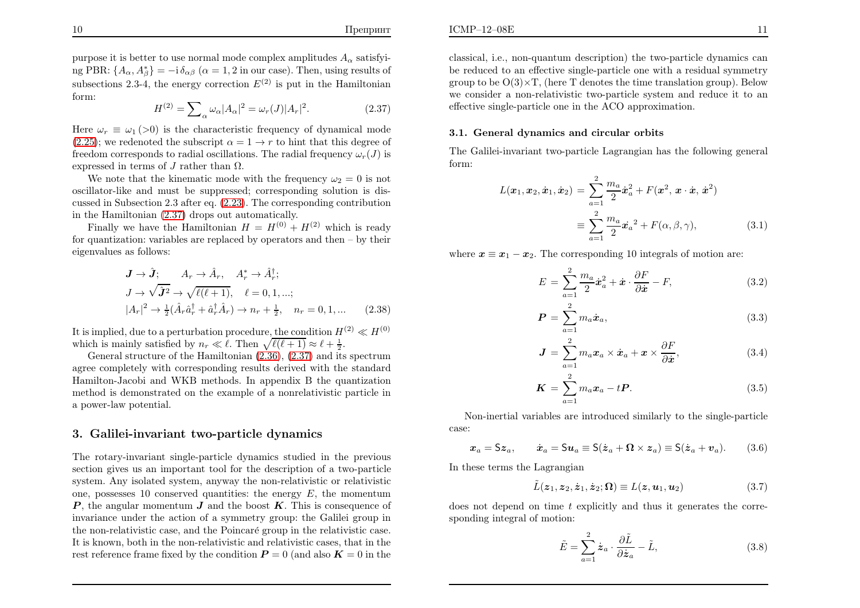purpose it is better to use normal mode complex amplitudes  $A_{\alpha}$  satisfying PBR:  $\{A_{\alpha}, A_{\beta}^*\} = -i \delta_{\alpha\beta}$  ( $\alpha = 1, 2$  in our case). Then, using results of subsections 2.3-4, the energy correction  $E^{(2)}$  is put in the Hamiltonian form:

$$
H^{(2)} = \sum_{\alpha} \omega_{\alpha} |A_{\alpha}|^2 = \omega_r(J) |A_r|^2.
$$
 (2.37)

Here  $\omega_r \equiv \omega_1$  (>0) is the characteristic frequency of dynamical mode  $(2.25)$ ; we redenoted the subscript  $\alpha = 1 \rightarrow r$  to hint that this degree of freedom corresponds to radial oscillations. The radial frequency  $\omega(T)$  is freedom corresponds to radial oscillations. The radial frequency  $\omega_r(J)$  is expressed in terms of  $J$  rather than  $\Omega$ .

We note that the kinematic mode with the frequency  $\omega_2 = 0$  is not oscillator-like and must be suppressed; corresponding solution is discussed in Subsection 2.3 after eq. [\(2.23\)](#page-4-1). The corresponding contributionin the Hamiltonian [\(2.37](#page-6-0)) drops out automatically.

Finally we have the Hamiltonian  $H = H^{(0)} + H^{(2)}$  which is ready for quantization: variables are replaced by operators and then – by theireigenvalues as follows:

$$
\mathbf{J} \rightarrow \hat{\mathbf{J}}; \qquad A_r \rightarrow \hat{A}_r, \qquad A_r^* \rightarrow \hat{A}_r^{\dagger};
$$
  
\n
$$
J \rightarrow \sqrt{\hat{\mathbf{J}}^2} \rightarrow \sqrt{\ell(\ell+1)}, \qquad \ell = 0, 1, \dots;
$$
  
\n
$$
|A_r|^2 \rightarrow \frac{1}{2} (\hat{A}_r \hat{a}_r^{\dagger} + \hat{a}_r^{\dagger} \hat{A}_r) \rightarrow n_r + \frac{1}{2}, \qquad n_r = 0, 1, \dots
$$
 (2.38)

It is implied, due to a perturbation procedure, the condition  $H^{(2)} \ll H^{(0)}$ which is mainly satisfied by  $n_r \ll l$ . Then  $\sqrt{l(l+1)} \approx l + \frac{1}{2}$ .<br>Ceneral structure of the Hamiltonian (2.36) (2.37) and its

 General structure of the Hamiltonian [\(2.36\)](#page-5-4), [\(2.37\)](#page-6-0) and its spectrum agree completely with corresponding results derived with the standard Hamilton-Jacobi and WKB methods. In appendix <sup>B</sup> the quantization method is demonstrated on the example of <sup>a</sup> nonrelativistic particle in<sup>a</sup> power-law potential.

### 3. Galilei-invariant two-particle dynamics

The rotary-invariant single-particle dynamics studied in the previous section <sup>g</sup>ives us an important tool for the description of <sup>a</sup> two-particle system. Any isolated system, anyway the non-relativistic or relativisticone, possesses 10 conserved quantities: the energy  $E$ , the momentum  $P$ , the angular momentum  $J$  and the boost  $K$ . This is consequence of invariance under the action of <sup>a</sup> symmetry group: the Galilei group inthe non-relativistic case, and the Poincaré group in the relativistic case. It is known, both in the non-relativistic and relativistic cases, that in therest reference frame fixed by the condition  $P = 0$  (and also  $K = 0$  in the

#### 3.1. General dynamics and circular orbits

effective single-particle one in the ACO approximation.

ICMP–12–08E

<span id="page-6-3"></span>The Galilei-invariant two-particle Lagrangian has the following genera<sup>l</sup> form:

<span id="page-6-4"></span><span id="page-6-1"></span>
$$
L(\boldsymbol{x}_1, \boldsymbol{x}_2, \dot{\boldsymbol{x}}_1, \dot{\boldsymbol{x}}_2) = \sum_{a=1}^2 \frac{m_a}{2} \dot{\boldsymbol{x}}_a^2 + F(\boldsymbol{x}^2, \boldsymbol{x} \cdot \dot{\boldsymbol{x}}, \dot{\boldsymbol{x}}^2)
$$
  

$$
\equiv \sum_{a=1}^2 \frac{m_a}{2} \dot{\boldsymbol{x}}_a^2 + F(\alpha, \beta, \gamma), \qquad (3.1)
$$

<span id="page-6-2"></span>where  $x \equiv x_1 - x_2$ . The corresponding 10 integrals of motion are:

<span id="page-6-0"></span>
$$
E = \sum_{a=1}^{2} \frac{m_a}{2} \dot{x}_a^2 + \dot{x} \cdot \frac{\partial F}{\partial \dot{x}} - F,
$$
 (3.2)

$$
\boldsymbol{P} = \sum_{a=1}^{2} m_a \dot{\boldsymbol{x}}_a,\tag{3.3}
$$

$$
\mathbf{J} = \sum_{a=1}^{2} m_a \mathbf{x}_a \times \dot{\mathbf{x}}_a + \mathbf{x} \times \frac{\partial F}{\partial \dot{\mathbf{x}}},
$$
(3.4)

$$
\boldsymbol{K} = \sum_{a=1}^{2} m_a \boldsymbol{x}_a - t \boldsymbol{P}.
$$
 (3.5)

Non-inertial variables are introduced similarly to the single-particlecase:

$$
x_a = Sz_a, \qquad \dot{x}_a = Su_a \equiv S(\dot{z}_a + \Omega \times z_a) \equiv S(\dot{z}_a + v_a). \tag{3.6}
$$

In these terms the Lagrangian

$$
\tilde{L}(\boldsymbol{z}_1, \boldsymbol{z}_2, \dot{\boldsymbol{z}}_1, \dot{\boldsymbol{z}}_2; \boldsymbol{\Omega}) \equiv L(\boldsymbol{z}, \boldsymbol{u}_1, \boldsymbol{u}_2) \tag{3.7}
$$

does not depend on time  $t$  explicitly and thus it generates the corresponding integral of motion:

$$
\tilde{E} = \sum_{a=1}^{2} \dot{z}_a \cdot \frac{\partial \tilde{L}}{\partial \dot{z}_a} - \tilde{L},
$$
\n(3.8)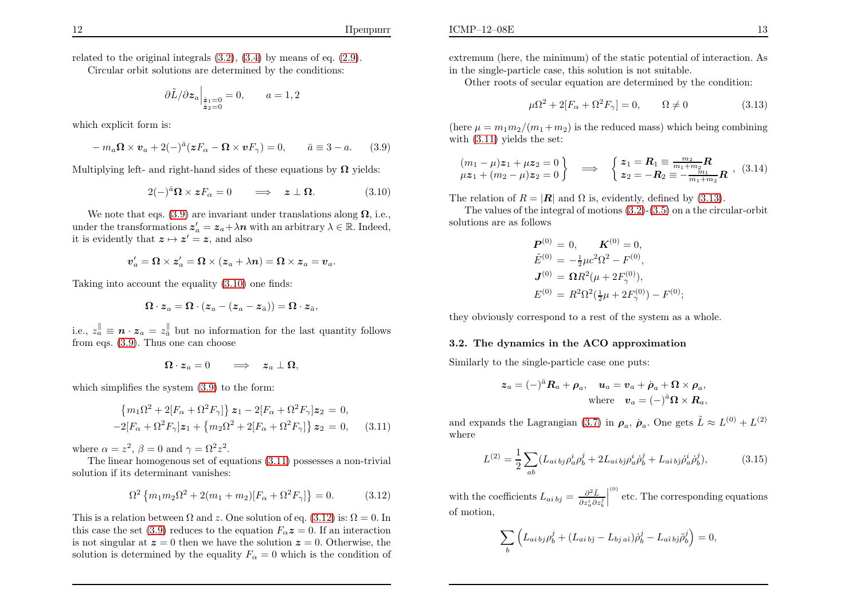related to the original integrals [\(3.2\)](#page-6-1), [\(3.4\)](#page-6-1) by means of eq. [\(2.9\)](#page-3-6).

Circular orbit solutions are determined by the conditions:

$$
\left. \frac{\partial \tilde{L}}{\partial \mathbf{z}_a} \right|_{\substack{\dot{\mathbf{z}}_1 = 0 \\ \dot{\mathbf{z}}_2 = 0}} = 0, \qquad a = 1, 2
$$

which explicit form is:

$$
-m_a \Omega \times v_a + 2(-)^{\bar{a}} (zF_\alpha - \Omega \times vF_\gamma) = 0, \qquad \bar{a} \equiv 3 - a. \tag{3.9}
$$

Multiplying left- and right-hand sides of these equations by  $\Omega$  yields:

$$
2(-)^{\bar{a}}\Omega \times zF_{\alpha} = 0 \qquad \Longrightarrow \quad z \perp \Omega. \tag{3.10}
$$

We note that eqs. [\(3.9\)](#page-7-0) are invariant under translations along  $\Omega$ , i.e., under the transformations  $z'_a = z_a + \lambda n$  with an arbitrary  $\lambda \in \mathbb{R}$ . Indeed, it is evidently that  $z \mapsto z'=z$ , and also

$$
\boldsymbol{v}'_a = \boldsymbol{\Omega} \times \boldsymbol{z}'_a = \boldsymbol{\Omega} \times (\boldsymbol{z}_a + \lambda \boldsymbol{n}) = \boldsymbol{\Omega} \times \boldsymbol{z}_a = \boldsymbol{v}_a.
$$

Taking into account the equality [\(3.10\)](#page-7-1) one finds:

$$
\mathbf{\Omega}\cdot\boldsymbol{z}_a=\mathbf{\Omega}\cdot(\boldsymbol{z}_a-(\boldsymbol{z}_a-\boldsymbol{z}_{\bar{a}}))=\mathbf{\Omega}\cdot\boldsymbol{z}_{\bar{a}},
$$

i.e.,  $z_{\alpha}^{\parallel} \equiv n \cdot z_{\alpha} = z_{\alpha}^{\parallel}$  but no information for the last quantity follows from eqs. [\(3.9\)](#page-7-0). Thus one can choose

$$
\mathbf{\Omega}\cdot\boldsymbol{z}_a=0\qquad\Longrightarrow\quad \boldsymbol{z}_a\perp\boldsymbol{\Omega},
$$

which simplifies the system  $(3.9)$  to the form:

$$
\{m_1\Omega^2 + 2[F_{\alpha} + \Omega^2 F_{\gamma}]\} z_1 - 2[F_{\alpha} + \Omega^2 F_{\gamma}] z_2 = 0,-2[F_{\alpha} + \Omega^2 F_{\gamma}] z_1 + \{m_2\Omega^2 + 2[F_{\alpha} + \Omega^2 F_{\gamma}]\} z_2 = 0,
$$
 (3.11)

where  $\alpha = z^2$ ,  $\beta = 0$  and  $\gamma = \Omega^2 z^2$ .

The linear homogenous set of equations [\(3.11\)](#page-7-2) possesses <sup>a</sup> non-trivial solution if its determinant vanishes:

$$
\Omega^2 \left\{ m_1 m_2 \Omega^2 + 2(m_1 + m_2) [F_\alpha + \Omega^2 F_\gamma] \right\} = 0. \tag{3.12}
$$

This is a relation between  $\Omega$  and z. One solution of eq. [\(3.12\)](#page-7-3) is:  $\Omega = 0$ . In this case the set [\(3.9](#page-7-0)) reduces to the equation  $F_{\alpha}z = 0$ . If an interaction is not singular at  $z = 0$  then we have the solution  $z = 0$ . Otherwise, the solution is determined by the equality  $F_{\alpha} = 0$  which is the condition of extremum (here, the minimum) of the static potential of interaction. Asin the single-particle case, this solution is not suitable.

Other roots of secular equation are determined by the condition:

<span id="page-7-5"></span><span id="page-7-0"></span>
$$
\mu \Omega^2 + 2[F_\alpha + \Omega^2 F_\gamma] = 0, \qquad \Omega \neq 0 \tag{3.13}
$$

(here  $\mu = m_1 m_2/(m_1 + m_2)$  is the reduced mass) which being combining with [\(3.11\)](#page-7-2) <sup>y</sup>ields the set:

$$
\begin{array}{ccc} (m_1 - \mu)z_1 + \mu z_2 = 0 \\ \mu z_1 + (m_2 - \mu)z_2 = 0 \end{array} \implies \begin{array}{c} z_1 = R_1 \equiv \frac{m_2}{m_1 + m_2} R \\ z_2 = -R_2 \equiv -\frac{m_1}{m_1 + m_2} R \end{array}, (3.14)
$$

<span id="page-7-3"></span><span id="page-7-2"></span>The relation of  $R = |\mathbf{R}|$  and  $\Omega$  is, evidently, defined by [\(3.13\)](#page-7-4).

The values of the integral of motions [\(3.2\)](#page-6-1)-[\(3.5\)](#page-6-1) on <sup>a</sup> the circular-orbitsolutions are as follows

<span id="page-7-4"></span><span id="page-7-1"></span>
$$
\begin{aligned} \mathbf{P}^{(0)} &= 0, & \mathbf{K}^{(0)} &= 0, \\ \tilde{E}^{(0)} &= -\frac{1}{2}\mu c^2 \Omega^2 - F^{(0)}, \\ \mathbf{J}^{(0)} &= \mathbf{\Omega} R^2 (\mu + 2F_\gamma^{(0)}), \\ E^{(0)} &= R^2 \Omega^2 (\frac{1}{2}\mu + 2F_\gamma^{(0)}) - F^{(0)}; \end{aligned}
$$

they obviously correspond to <sup>a</sup> rest of the system as <sup>a</sup> whole.

#### 3.2. The dynamics in the ACO approximation

Similarly to the single-particle case one puts:

$$
\mathbf{z}_a = (-)^{\bar{a}} \mathbf{R}_a + \boldsymbol{\rho}_a, \quad \mathbf{u}_a = \mathbf{v}_a + \dot{\boldsymbol{\rho}}_a + \mathbf{\Omega} \times \boldsymbol{\rho}_a,
$$
  
where  $\mathbf{v}_a = (-)^{\bar{a}} \mathbf{\Omega} \times \mathbf{R}_a$ ,

and expands the Lagrangian [\(3.7\)](#page-6-2) in  $\rho_a$ ,  $\rho_a$ . One gets  $\tilde{L} \approx L^{(0)} + L^{(2)}$ where

$$
L^{(2)} = \frac{1}{2} \sum_{ab} (L_{ai\,bj} \rho_a^i \rho_b^j + 2L_{ai\,bj} \rho_a^i \dot{\rho}_b^j + L_{ai\,bj} \dot{\rho}_a^i \dot{\rho}_b^j), \tag{3.15}
$$

with the coefficients  $L_{ai\,bj} = \frac{\partial^2 \tilde{L}}{\partial z_a^i \partial z_b^j} \Big|^{(0)}$  etc. The corresponding equations of motion,

$$
\sum_{b} \left( L_{ai\, bj} \rho_b^j + (L_{ai\, bj} - L_{bj\, ai}) \dot{\rho}_b^j - L_{ai\, bj} \ddot{\rho}_b^j \right) = 0,
$$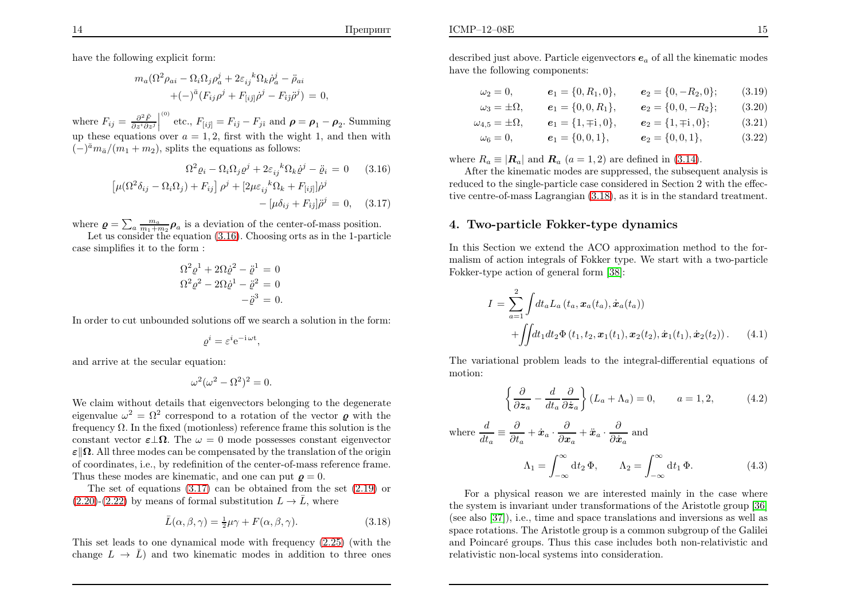have the following explicit form:

$$
m_a(\Omega^2 \rho_{ai} - \Omega_i \Omega_j \rho_a^j + 2\varepsilon_{ij}^k \Omega_k \dot{\rho}_a^j - \ddot{\rho}_{ai} + (-)^{\bar{a}} (F_{ij}\rho^j + F_{[ij]}\dot{\rho}^j - F_{\hat{i}\hat{j}}\ddot{\rho}^j) = 0,
$$

where  $F_{ij} = \frac{\partial^2 \tilde{F}}{\partial z^i \partial z^j}$ up these equations over  $a = 1, 2$ , first with the wight 1, and then with <sup>(0)</sup> etc.,  $F_{[ij]} = F_{i\hat{j}} - F_{j\hat{i}}$  and  $\rho$  $=$   $\rho_1 - \rho_2$ . Summing  $(-)^{\bar{a}}m_{\bar{a}}/(m_1 + m_2)$ , splits the equations as follows:

$$
\Omega^2 \varrho_i - \Omega_i \Omega_j \varrho^j + 2\varepsilon_{ij}{}^k \Omega_k \dot{\varrho}^j - \ddot{\varrho}_i = 0 \qquad (3.16)
$$

$$
\left[ \mu(\Omega^2 \delta_{ij} - \Omega_i \Omega_j) + F_{ij} \right] \rho^j + \left[ 2\mu \varepsilon_{ij}{}^k \Omega_k + F_{[ij]} \right] \dot{\rho}^j - \left[ \mu \delta_{ij} + F_{ij} \right] \ddot{\rho}^j = 0, \qquad (3.17)
$$

where  $\rho = \sum_a \frac{m_a}{m_1 + m_2} \rho_a$  is a deviation of the center-of-mass position.

Let us consider the equation  $(3.16)$ . Choosing orts as in the 1-particle case simplifies it to the form :

<span id="page-8-1"></span>
$$
\Omega^2 \rho^1 + 2\Omega \dot{\rho}^2 - \ddot{\rho}^1 = 0
$$
  

$$
\Omega^2 \rho^2 - 2\Omega \dot{\rho}^1 - \ddot{\rho}^2 = 0
$$
  

$$
-\ddot{\rho}^3 = 0.
$$

In order to cut unbounded solutions off we search <sup>a</sup> solution in the form:

$$
\varrho^i = \varepsilon^i e^{-i \omega t},
$$

and arrive at the secular equation:

$$
\omega^2(\omega^2 - \Omega^2)^2 = 0.
$$

We claim without details that eigenvectors belonging to the degenerate eigenvalue  $\omega^2 = \Omega^2$  correspond to a rotation of the vector *Q* with the frequency  $\Omega$ . In the fixed (motionless) reference frame this solution is the constant vector  $\epsilon \perp \Omega$ . The  $\omega = 0$  mode possesses constant eigenvector  $\varepsilon$   $\left\Vert \mathbf{\Omega}.\right.$  All three modes can be compensated by the translation of the origin of coordinates, i.e., by redefinition of the center-of-mass reference frame. Thus these modes are kinematic, and one can put  $\boldsymbol{\varrho} = 0$ .

 The set of equations [\(3.17\)](#page-8-0) can be obtained from the set [\(2.19\)](#page-4-5) or $(2.20)-(2.22)$  $(2.20)-(2.22)$  $(2.20)-(2.22)$  by means of formal substitution  $L\rightarrow\overline{L}$ , where

$$
\bar{L}(\alpha, \beta, \gamma) = \frac{1}{2}\mu\gamma + F(\alpha, \beta, \gamma).
$$
 (3.18)

This set leads to one dynamical mode with frequency [\(2.25\)](#page-4-4) (with thechange  $L \rightarrow \bar{L}$  and two kinematic modes in addition to three ones

described just above. Particle eigenvectors  $e_a$  of all the kinematic modes have the following components:

$$
\omega_2 = 0,
$$
\n $e_1 = \{0, R_1, 0\},$ \n $e_2 = \{0, -R_2, 0\};$ \n(3.19)

$$
\omega_3 = \pm \Omega
$$
,  $e_1 = \{0, 0, R_1\}$ ,  $e_2 = \{0, 0, -R_2\}$ ; (3.20)

$$
\omega_{4,5} = \pm \Omega
$$
,  $\mathbf{e}_1 = \{1, \mp i, 0\}$ ,  $\mathbf{e}_2 = \{1, \mp i, 0\}$ ; (3.21)

<span id="page-8-2"></span>
$$
\omega_6 = 0,
$$
\n $e_1 = \{0, 0, 1\},$ \n $e_2 = \{0, 0, 1\},$ \n(3.22)

where  $R_a \equiv |\mathbf{R}_a|$  and  $\mathbf{R}_a$   $(a = 1, 2)$  are defined in [\(3.14\)](#page-7-5).

<span id="page-8-4"></span> After the kinematic modes are suppressed, the subsequent analysis is reduced to the single-particle case considered in Section <sup>2</sup> with the effective centre-of-mass Lagrangian [\(3.18\)](#page-8-1), as it is in the standard treatment.

# <span id="page-8-3"></span>4. Two-particle Fokker-type dynamics

In this Section we extend the ACO approximation method to the formalism of action integrals of Fokker type. We start with <sup>a</sup> two-particleFokker-type action of genera<sup>l</sup> form [\[38\]](#page-22-21):

<span id="page-8-0"></span>
$$
I = \sum_{a=1}^{2} \int dt_a L_a(t_a, \mathbf{x}_a(t_a), \dot{\mathbf{x}}_a(t_a))
$$
  
+  $\iint dt_1 dt_2 \Phi(t_1, t_2, \mathbf{x}_1(t_1), \mathbf{x}_2(t_2), \dot{\mathbf{x}}_1(t_1), \dot{\mathbf{x}}_2(t_2)).$  (4.1)

The variational problem leads to the integral-differential equations of motion:

<span id="page-8-8"></span><span id="page-8-7"></span><span id="page-8-6"></span><span id="page-8-5"></span>
$$
\left\{\frac{\partial}{\partial z_a} - \frac{d}{dt_a} \frac{\partial}{\partial \dot{z}_a}\right\} (L_a + \Lambda_a) = 0, \qquad a = 1, 2,
$$
 (4.2)

where 
$$
\frac{d}{dt_a} \equiv \frac{\partial}{\partial t_a} + \dot{x}_a \cdot \frac{\partial}{\partial x_a} + \ddot{x}_a \cdot \frac{\partial}{\partial \dot{x}_a}
$$
 and  
\n
$$
\Lambda_1 = \int_{-\infty}^{\infty} dt_2 \, \Phi, \qquad \Lambda_2 = \int_{-\infty}^{\infty} dt_1 \, \Phi. \tag{4.3}
$$

For <sup>a</sup> <sup>p</sup>hysical reason we are interested mainly in the case where the system is invariant under transformations of the Aristotle group [\[36\]](#page-22-22) (see also [\[37\]](#page-22-23)), i.e., time and space translations and inversions as well as space rotations. The Aristotle group is <sup>a</sup> common subgroup of the Galilei and Poincaré groups. Thus this case includes both non-relativistic and relativistic non-local systems into consideration.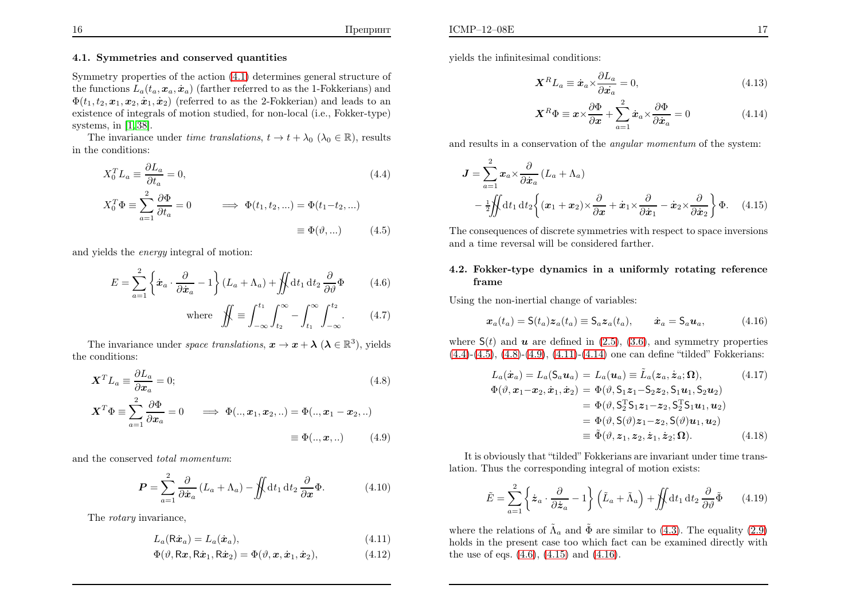### 4.1. Symmetries and conserved quantities

Symmetry properties of the action [\(4.1\)](#page-8-2) determines genera<sup>l</sup> structure of the functions  $L_a(t_a, \boldsymbol{x}_a, \dot{\boldsymbol{x}}_a)$  (farther referred to as the 1-Fokkerians) and  $\Phi(t_1,t_2,\boldsymbol{x}_1,\boldsymbol{x}_2,\dot{\boldsymbol{x}}_1,\dot{\boldsymbol{x}}_2)$  (referred to as the 2-Fokkerian) and leads to an existence of integrals of motion studied, for non-local (i.e., Fokker-type)systems, in [\[1,](#page-21-0) [38\]](#page-22-21).

The invariance under *time translations*,  $t \to t + \lambda_0$  ( $\lambda_0 \in \mathbb{R}$ ), results be conditions: in the conditions:

<span id="page-9-4"></span>
$$
X_0^T L_a \equiv \frac{\partial L_a}{\partial t_a} = 0,
$$
\n
$$
X_0^T \Phi \equiv \sum_{a=1}^2 \frac{\partial \Phi}{\partial t_a} = 0 \qquad \Longrightarrow \Phi(t_1, t_2, \ldots) = \Phi(t_1 - t_2, \ldots)
$$
\n
$$
\equiv \Phi(\vartheta, \ldots) \qquad (4.5)
$$

and yields the *energy* integral of motion:

$$
E = \sum_{a=1}^{2} \left\{ \dot{x}_a \cdot \frac{\partial}{\partial \dot{x}_a} - 1 \right\} (L_a + \Lambda_a) + \iint dt_1 dt_2 \frac{\partial}{\partial \vartheta} \Phi \qquad (4.6)
$$
  
where 
$$
\iint \equiv \int_{-\infty}^{t_1} \int_{t_2}^{\infty} - \int_{t_1}^{\infty} \int_{-\infty}^{t_2} . \qquad (4.7)
$$

The invariance under *space translations*,  $x \to x + \lambda$  ( $\lambda \in \mathbb{R}^3$ ), yields the conditions:

$$
\mathbf{X}^T L_a \equiv \frac{\partial L_a}{\partial \mathbf{x}_a} = 0; \tag{4.8}
$$

$$
\mathbf{X}^T \Phi \equiv \sum_{a=1}^2 \frac{\partial \Phi}{\partial x_a} = 0 \implies \Phi(., x_1, x_2, ..) = \Phi(., x_1 - x_2, ..)
$$

$$
\equiv \Phi(., x, ..) \tag{4.9}
$$

and the conserved total momentum:

$$
\boldsymbol{P} = \sum_{a=1}^{2} \frac{\partial}{\partial \dot{\boldsymbol{x}}_a} \left( L_a + \Lambda_a \right) - \iint \mathrm{d}t_1 \, \mathrm{d}t_2 \, \frac{\partial}{\partial \boldsymbol{x}} \Phi. \tag{4.10}
$$

The *rotary* invariance,

$$
L_a(\mathsf{R}\dot{\mathbf{x}}_a) = L_a(\dot{\mathbf{x}}_a),\tag{4.11}
$$

$$
\Phi(\vartheta, \mathsf{R}\boldsymbol{x}, \mathsf{R}\dot{\boldsymbol{x}}_1, \mathsf{R}\dot{\boldsymbol{x}}_2) = \Phi(\vartheta, \boldsymbol{x}, \dot{\boldsymbol{x}}_1, \dot{\boldsymbol{x}}_2),\tag{4.12}
$$

<sup>y</sup>ields the infinitesimal conditions:

$$
\mathbf{X}^R L_a \equiv \dot{\mathbf{x}}_a \times \frac{\partial L_a}{\partial \dot{\mathbf{x}}_a} = 0, \tag{4.13}
$$

<span id="page-9-5"></span>
$$
\mathbf{X}^R \Phi \equiv \mathbf{x} \times \frac{\partial \Phi}{\partial \mathbf{x}} + \sum_{a=1}^2 \dot{\mathbf{x}}_a \times \frac{\partial \Phi}{\partial \dot{\mathbf{x}}_a} = 0 \tag{4.14}
$$

and results in a conservation of the *angular momentum* of the system:

<span id="page-9-8"></span><span id="page-9-6"></span>
$$
\mathbf{J} = \sum_{a=1}^{2} x_a \times \frac{\partial}{\partial \dot{x}_a} (L_a + \Lambda_a)
$$
  
 
$$
- \frac{1}{2} \iint dt_1 dt_2 \left\{ (x_1 + x_2) \times \frac{\partial}{\partial x} + \dot{x}_1 \times \frac{\partial}{\partial \dot{x}_1} - \dot{x}_2 \times \frac{\partial}{\partial \dot{x}_2} \right\} \Phi.
$$
 (4.15)

The consequences of discrete symmetries with respect to space inversionsand <sup>a</sup> time reversal will be considered farther.

#### 4.2. Fokker-type dynamics in <sup>a</sup> uniformly rotating referenceframe

Using the non-inertial change of variables:

$$
\boldsymbol{x}_a(t_a) = \mathsf{S}(t_a) \boldsymbol{z}_a(t_a) \equiv \mathsf{S}_a \boldsymbol{z}_a(t_a), \qquad \dot{\boldsymbol{x}}_a = \mathsf{S}_a \boldsymbol{u}_a,\tag{4.16}
$$

where  $S(t)$  and **u** are defined in [\(2.5\)](#page-2-0), [\(3.6\)](#page-6-3), and symmetry properties [\(4.4\)](#page-9-0)-[\(4.5\)](#page-9-1), [\(4.8\)](#page-9-2)-[\(4.9\)](#page-9-3), [\(4.11\)](#page-9-4)-[\(4.14\)](#page-9-5) one can define "tilded" Fokkerians:

<span id="page-9-7"></span><span id="page-9-1"></span><span id="page-9-0"></span>
$$
L_a(\dot{x}_a) = L_a(S_a u_a) = L_a(u_a) \equiv \tilde{L}_a(z_a, \dot{z}_a; \Omega), \qquad (4.17)
$$
  
\n
$$
\Phi(\vartheta, x_1 - x_2, \dot{x}_1, \dot{x}_2) = \Phi(\vartheta, S_1 z_1 - S_2 z_2, S_1 u_1, S_2 u_2)
$$
  
\n
$$
= \Phi(\vartheta, S_2^T S_1 z_1 - z_2, S_2^T S_1 u_1, u_2)
$$
  
\n
$$
= \Phi(\vartheta, S(\vartheta) z_1 - z_2, S(\vartheta) u_1, u_2)
$$
  
\n
$$
\equiv \tilde{\Phi}(\vartheta, z_1, z_2, \dot{z}_1, \dot{z}_2; \Omega). \qquad (4.18)
$$

<span id="page-9-3"></span><span id="page-9-2"></span>It is obviously that "tilded" Fokkerians are invariant under time translation. Thus the corresponding integral of motion exists:

$$
\tilde{E} = \sum_{a=1}^{2} \left\{ \dot{z}_a \cdot \frac{\partial}{\partial \dot{z}_a} - 1 \right\} \left( \tilde{L}_a + \tilde{\Lambda}_a \right) + \iint dt_1 dt_2 \frac{\partial}{\partial \vartheta} \tilde{\Phi} \qquad (4.19)
$$

where the relations of  $\tilde{\Lambda}_a$  and  $\tilde{\Phi}$  are similar to [\(4.3\)](#page-8-3). The equality [\(2.9\)](#page-3-6) holds in the present case too which fact can be examined directly withthe use of eqs. [\(4.6\)](#page-9-6), [\(4.15\)](#page-9-7) and [\(4.16](#page-9-8)).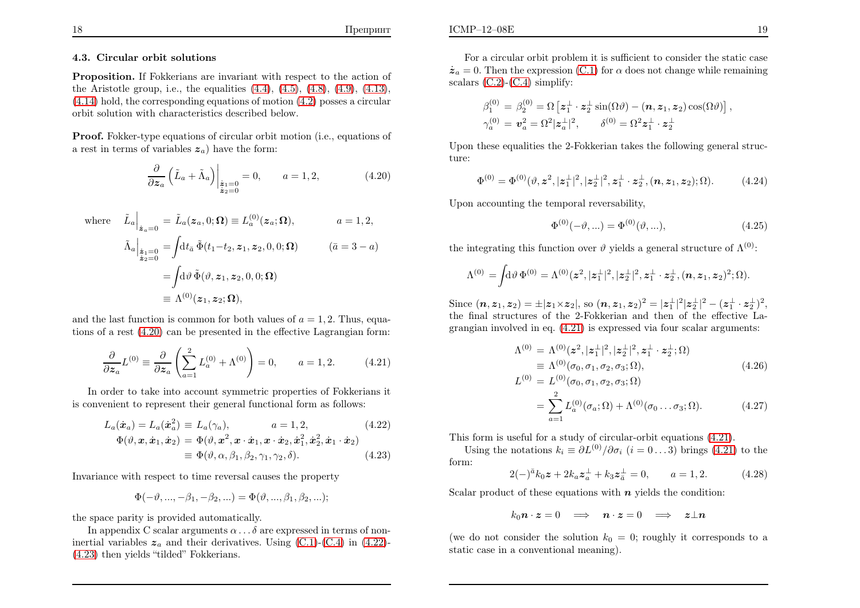#### 4.3. Circular orbit solutions

Proposition. If Fokkerians are invariant with respect to the action of the Aristotle group, i.e., the equalities  $(4.4)$ ,  $(4.5)$ ,  $(4.8)$ ,  $(4.9)$ ,  $(4.13)$ ,  $(4.14)$  hold, the corresponding equations of motion  $(4.2)$  $(4.2)$  posses a circular orbit solution with characteristics described below.

Proof. Fokker-type equations of circular orbit motion (i.e., equations of a rest in terms of variables  $z_a$ ) have the form:

$$
\frac{\partial}{\partial z_a} \left( \tilde{L}_a + \tilde{\Lambda}_a \right) \Big|_{\substack{\dot{z}_1 = 0 \\ \dot{z}_2 = 0}} = 0, \qquad a = 1, 2,
$$
\n(4.20)

where 
$$
\tilde{L}_a \Big|_{\dot{z}_a=0} = \tilde{L}_a(z_a, 0; \Omega) \equiv L_a^{(0)}(z_a; \Omega),
$$
  $a = 1, 2,$   
\n
$$
\tilde{\Lambda}_a \Big|_{\dot{z}_1=0} = \int dt_{\bar{a}} \tilde{\Phi}(t_1-t_2, z_1, z_2, 0, 0; \Omega) \qquad (\bar{a} = 3 - a)
$$
\n
$$
= \int d\vartheta \, \tilde{\Phi}(\vartheta, z_1, z_2, 0, 0; \Omega)
$$
\n
$$
\equiv \Lambda^{(0)}(z_1, z_2; \Omega),
$$

and the last function is common for both values of  $a = 1, 2$ . Thus, equations of <sup>a</sup> rest [\(4.20\)](#page-10-0) can be presented in the effective Lagrangian form:

$$
\frac{\partial}{\partial z_a} L^{(0)} \equiv \frac{\partial}{\partial z_a} \left( \sum_{a=1}^2 L_a^{(0)} + \Lambda^{(0)} \right) = 0, \qquad a = 1, 2. \tag{4.21}
$$

In order to take into account symmetric properties of Fokkerians itis convenient to represent their genera<sup>l</sup> functional form as follows:

$$
L_a(\dot{\boldsymbol{x}}_a) = L_a(\dot{\boldsymbol{x}}_a^2) \equiv L_a(\gamma_a), \qquad a = 1, 2,
$$
\n
$$
\Phi(\vartheta, \boldsymbol{x}, \dot{\boldsymbol{x}}_1, \dot{\boldsymbol{x}}_2) = \Phi(\vartheta, \boldsymbol{x}^2, \boldsymbol{x} \cdot \dot{\boldsymbol{x}}_1, \boldsymbol{x} \cdot \dot{\boldsymbol{x}}_2, \dot{\boldsymbol{x}}_1^2, \dot{\boldsymbol{x}}_2^2, \dot{\boldsymbol{x}}_1 \cdot \dot{\boldsymbol{x}}_2)
$$
\n
$$
\equiv \Phi(\vartheta, \alpha, \beta_1, \beta_2, \gamma_1, \gamma_2, \delta).
$$
\n(4.23)

Invariance with respect to time reversal causes the property

$$
\Phi(-\vartheta, ..., -\beta_1, -\beta_2, ...) = \Phi(\vartheta, ..., \beta_1, \beta_2, ...);
$$

the space parity is provided automatically.

In appendix C scalar arguments  $\alpha \dots \delta$  are expressed in terms of noninertial variables  $z_a$  and their derivatives. Using [\(C.1\)](#page-21-7)-[\(C.4\)](#page-21-7) in [\(4.22](#page-10-1))-[\(4.23\)](#page-10-1) then <sup>y</sup>ields "tilded" Fokkerians.

For <sup>a</sup> circular orbit problem it is sufficient to consider the static case $\dot{z}_a = 0$ . Then the expression [\(C.1\)](#page-21-7) for  $\alpha$  does not change while remaining scalars  $(C.2)-(C.4)$  $(C.2)-(C.4)$  $(C.2)-(C.4)$  simplify:

$$
\beta_1^{(0)} = \beta_2^{(0)} = \Omega \left[ \mathbf{z}_1^\perp \cdot \mathbf{z}_2^\perp \sin(\Omega \vartheta) - (\mathbf{n}, \mathbf{z}_1, \mathbf{z}_2) \cos(\Omega \vartheta) \right],
$$
  

$$
\gamma_a^{(0)} = \mathbf{v}_a^2 = \Omega^2 |\mathbf{z}_a^\perp|^2, \qquad \delta^{(0)} = \Omega^2 \mathbf{z}_1^\perp \cdot \mathbf{z}_2^\perp
$$

<span id="page-10-2"></span><span id="page-10-1"></span>Upon these equalities the 2-Fokkerian takes the following genera<sup>l</sup> structure:

$$
\Phi^{(0)} = \Phi^{(0)}(\vartheta, \mathbf{z}^2, |\mathbf{z}_1^{\perp}|^2, |\mathbf{z}_2^{\perp}|^2, \mathbf{z}_1^{\perp} \cdot \mathbf{z}_2^{\perp}, (\mathbf{n}, \mathbf{z}_1, \mathbf{z}_2); \Omega). \tag{4.24}
$$

<span id="page-10-3"></span>Upon accounting the temporal reversability,

<span id="page-10-4"></span><span id="page-10-0"></span>
$$
\Phi^{(0)}(-\vartheta, \ldots) = \Phi^{(0)}(\vartheta, \ldots), \tag{4.25}
$$

the integrating this function over  $\vartheta$  yields a general structure of  $\Lambda^{(0)}$ :

$$
\Lambda^{(0)}=\!\int\!\!\mathrm{d}\vartheta\,\Phi^{(0)}=\Lambda^{(0)}(\bm{z}^2,|\bm{z}^{\perp}_{1}|^2,|\bm{z}^{\perp}_{2}|^2,\bm{z}^{\perp}_{1}\cdot\bm{z}^{\perp}_{2},(\bm{n},\bm{z}_{1},\bm{z}_{2})^2;\Omega).
$$

Since  $(n, z_1, z_2) = \pm |z_1 \times z_2|$ , so  $(n, z_1, z_2)^2 = |z_1^{\perp}|^2 |z_2^{\perp}|^2 - (z_1^{\perp} \cdot z_2^{\perp})^2$ , the final structures of the 2-Fokkerian and then of the effective Lagrangian involved in eq. [\(4.21\)](#page-10-2) is expressed via four scalar arguments:

$$
\Lambda^{(0)} = \Lambda^{(0)}(z^2, |z_1^{\perp}|^2, |z_2^{\perp}|^2, z_1^{\perp} \cdot z_2^{\perp}; \Omega)
$$
  
\n
$$
\equiv \Lambda^{(0)}(\sigma_0, \sigma_1, \sigma_2, \sigma_3; \Omega),
$$
\n(4.26)

$$
L^{(0)} = L^{(0)}(\sigma_0, \sigma_1, \sigma_2, \sigma_3; \Omega)
$$
  
= 
$$
\sum_{a=1}^{2} L_a^{(0)}(\sigma_a; \Omega) + \Lambda^{(0)}(\sigma_0 \dots \sigma_3; \Omega).
$$
 (4.27)

This form is useful for <sup>a</sup> study of circular-orbit equations [\(4.21\)](#page-10-2).

Using the notations  $k_i \equiv \partial L^{(0)}/\partial \sigma_i$   $(i = 0...3)$  brings [\(4.21\)](#page-10-2) to the form:

$$
2(-)^{\bar{a}}k_0 z + 2k_a z_a^{\perp} + k_3 z_{\bar{a}}^{\perp} = 0, \qquad a = 1, 2.
$$
 (4.28)

Scalar product of these equations with  $n$  yields the condition:

$$
k_0\mathbf{n}\cdot\mathbf{z}=0\quad\Longrightarrow\quad \mathbf{n}\cdot\mathbf{z}=0\quad\Longrightarrow\quad \mathbf{z}\perp\mathbf{n}
$$

(we do not consider the solution  $k_0 = 0$ ; roughly it corresponds to a static case in <sup>a</sup> conventional meaning).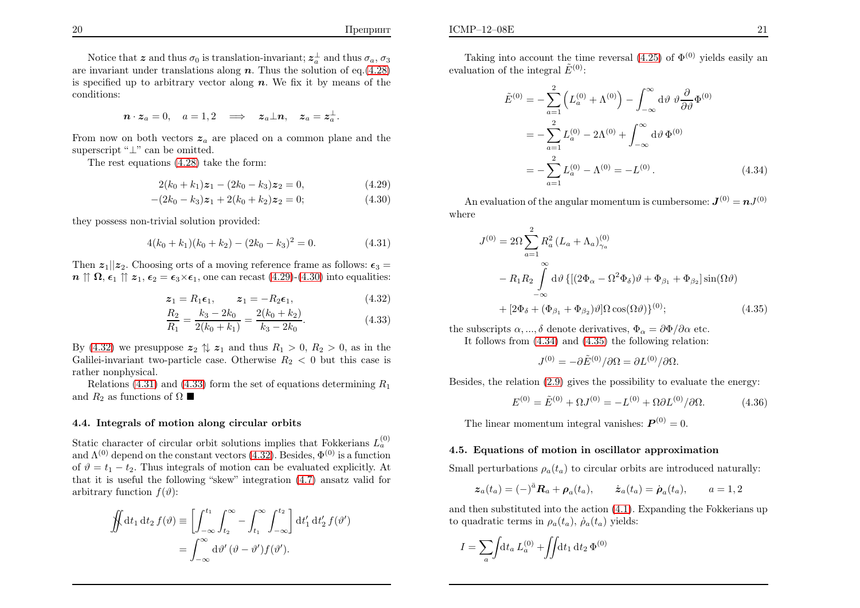Notice that z and thus  $\sigma_0$  is translation-invariant;  $z_a^{\perp}$  and thus  $\sigma_a$ ,  $\sigma_3$ are invariant under translations along  $n$ . Thus the solution of eq.[\(4.28\)](#page-10-3) is specified up to arbitrary vector along  $n$ . We fix it by means of the conditions:

$$
\boldsymbol{n} \cdot \boldsymbol{z}_a = 0, \quad a = 1, 2 \quad \Longrightarrow \quad \boldsymbol{z}_a \perp \boldsymbol{n}, \quad \boldsymbol{z}_a = \boldsymbol{z}_a^\perp.
$$

From now on both vectors  $z_a$  are placed on a common plane and the superscript " $\perp$ " can be omitted.

The rest equations [\(4.28\)](#page-10-3) take the form:

$$
2(k_0 + k_1)z_1 - (2k_0 - k_3)z_2 = 0,
$$
\n(4.29)

$$
-(2k_0 - k_3)z_1 + 2(k_0 + k_2)z_2 = 0;
$$
\n(4.30)

they possess non-trivial solution provided:

$$
4(k_0 + k_1)(k_0 + k_2) - (2k_0 - k_3)^2 = 0.
$$
 (4.31)

Then  $z_1||z_2$ . Choosing orts of a moving reference frame as follows:  $\epsilon_3 =$  $n \uparrow \uparrow \Omega$ ,  $\epsilon_1 \uparrow \uparrow z_1$ ,  $\epsilon_2 = \epsilon_3 \times \epsilon_1$ , one can recast [\(4.29\)](#page-11-0)-[\(4.30\)](#page-11-0) into equalities:

$$
z_1 = R_1 \epsilon_1, \qquad z_1 = -R_2 \epsilon_1, \tag{4.32}
$$

$$
z_1 = R_1 \epsilon_1, \qquad z_1 = -R_2 \epsilon_1, \qquad (4.32)
$$
  
\n
$$
\frac{R_2}{R_1} = \frac{k_3 - 2k_0}{2(k_0 + k_1)} = \frac{2(k_0 + k_2)}{k_3 - 2k_0}.
$$
\n(4.33)

By  $(4.32)$  we presuppose  $z_2 \uparrow z_1$  and thus  $R_1 > 0, R_2 > 0$ , as in the Galilei-invariant two-particle case. Otherwise  $R_2 < 0$  but this case is rather nonphysical.

Relations [\(4.31\)](#page-11-2) and [\(4.33\)](#page-11-1) form the set of equations determining  $R_1$ and  $R_2$  as functions of  $\Omega$ 

### 4.4. Integrals of motion along circular orbits

Static character of circular orbit solutions implies that Fokkerians  $L_a^{(0)}$ and  $\Lambda^{(0)}$  depend on the constant vectors [\(4.32\)](#page-11-1). Besides,  $\Phi^{(0)}$  is a function of  $\vartheta = t_1 - t_2$ . Thus integrals of motion can be evaluated explicitly. At that it is useful the following "skew" integration [\(4.7\)](#page-9-6) ansatz valid forarbitrary function  $f(\vartheta)$ :

$$
\iint dt_1 dt_2 f(\vartheta) \equiv \left[ \int_{-\infty}^{t_1} \int_{t_2}^{\infty} - \int_{t_1}^{\infty} \int_{-\infty}^{t_2} dt'_1 dt'_2 f(\vartheta')
$$

$$
= \int_{-\infty}^{\infty} d\vartheta' (\vartheta - \vartheta') f(\vartheta').
$$

Taking into account the time reversal  $(4.25)$  of  $\Phi^{(0)}$  yields easily an evaluation of the integral  $\tilde{E}^{(0)}$ :

$$
\tilde{E}^{(0)} = -\sum_{a=1}^{2} \left( L_a^{(0)} + \Lambda^{(0)} \right) - \int_{-\infty}^{\infty} d\vartheta \, \vartheta \frac{\partial}{\partial \vartheta} \Phi^{(0)} \n= -\sum_{a=1}^{2} L_a^{(0)} - 2\Lambda^{(0)} + \int_{-\infty}^{\infty} d\vartheta \, \Phi^{(0)} \n= -\sum_{a=1}^{2} L_a^{(0)} - \Lambda^{(0)} = -L^{(0)}.
$$
\n(4.34)

An evaluation of the angular momentum is cumbersome:  $\bm{J}^{(0)}=\bm{n}J^{(0)}$ where

<span id="page-11-2"></span><span id="page-11-1"></span><span id="page-11-0"></span>
$$
J^{(0)} = 2\Omega \sum_{a=1}^{2} R_a^2 (L_a + \Lambda_a)_{\gamma_a}^{(0)}
$$
  

$$
- R_1 R_2 \int_{-\infty}^{\infty} d\vartheta \{ [(2\Phi_{\alpha} - \Omega^2 \Phi_{\delta})\vartheta + \Phi_{\beta_1} + \Phi_{\beta_2}] \sin(\Omega \vartheta)
$$

$$
+ [2\Phi_{\delta} + (\Phi_{\beta_1} + \Phi_{\beta_2})\vartheta] \Omega \cos(\Omega \vartheta) \}^{(0)}; \qquad (4.35)
$$

the subscripts  $\alpha, ..., \delta$  denote derivatives,  $\Phi_{\alpha} = \partial \Phi / \partial \alpha$  etc. It follows from [\(4.34\)](#page-11-3) and [\(4.35](#page-11-4)) the following relation:

<span id="page-11-3"></span>
$$
J^{(0)} = -\partial \tilde{E}^{(0)}/\partial \Omega = \partial L^{(0)}/\partial \Omega.
$$

Besides, the relation [\(2.9\)](#page-3-6) <sup>g</sup>ives the possibility to evaluate the energy:

$$
E^{(0)} = \tilde{E}^{(0)} + \Omega J^{(0)} = -L^{(0)} + \Omega \partial L^{(0)} / \partial \Omega.
$$
 (4.36)

<span id="page-11-4"></span>The linear momentum integral vanishes:  $\boldsymbol{P}^{(0)} = 0$ .

### 4.5. Equations of motion in oscillator approximation

Small perturbations  $\rho_a(t_a)$  to circular orbits are introduced naturally:

$$
\boldsymbol{z}_a(t_a) = (-)^{\bar{a}} \boldsymbol{R}_a + \boldsymbol{\rho}_a(t_a), \qquad \dot{\boldsymbol{z}}_a(t_a) = \dot{\boldsymbol{\rho}}_a(t_a), \qquad a = 1, 2
$$

and then substituted into the action [\(4.1\)](#page-8-2). Expanding the Fokkerians upto quadratic terms in  $\rho_a(t_a)$ ,  $\dot{\rho}_a(t_a)$  yields:

$$
I = \sum_{a} \int dt_a L_a^{(0)} + \iint dt_1 dt_2 \Phi^{(0)}
$$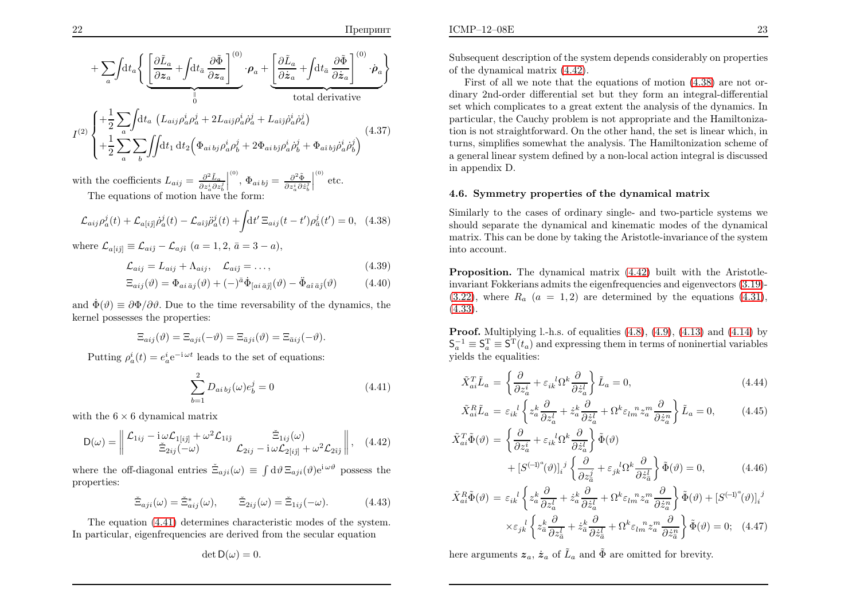$$
+\sum_{a} \int dt_{a} \left\{ \underbrace{\left[\frac{\partial \tilde{L}_{a}}{\partial \mathbf{z}_{a}} + \int dt_{\bar{a}} \frac{\partial \tilde{\Phi}}{\partial \mathbf{z}_{a}}\right]^{(0)}}_{0} \cdot \boldsymbol{\rho}_{a} + \underbrace{\left[\frac{\partial \tilde{L}_{a}}{\partial \dot{\mathbf{z}}_{a}} + \int dt_{\bar{a}} \frac{\partial \tilde{\Phi}}{\partial \dot{\mathbf{z}}_{a}}\right]^{(0)} \cdot \dot{\boldsymbol{\rho}}_{a}}_{\text{total derivative}}
$$
\n
$$
I^{(2)} \left\{ + \frac{1}{2} \sum_{a} \int dt_{a} \left(L_{aij} \rho_{a}^{i} \rho_{a}^{j} + 2L_{aij} \rho_{a}^{i} \rho_{a}^{j} + L_{a\hat{i}\hat{j}} \rho_{a}^{i} \rho_{a}^{j}\right) + \frac{1}{2} \sum_{a} \sum_{b} \int dt_{1} dt_{2} \left(\Phi_{aibj} \rho_{a}^{i} \rho_{b}^{j} + 2\Phi_{aibj} \rho_{a}^{i} \rho_{b}^{j} + \Phi_{aibj} \rho_{a}^{i} \rho_{b}^{j}\right) \tag{4.37}
$$

with the coefficients  $L_{aij} = \frac{\partial^2 \tilde{L}_a}{\partial z_a^i \partial z_b^j}$   $\overset{(0)}{\Phi}_{a i \, b \hat{\jmath}} = \frac{\partial^2 \tilde{\Phi}}{\partial z^i_a \partial \dot{z}^j_b}$  $\overset{\text{\tiny{(0)}}}{\phantom{\cdot}}$  etc.

The equations of motion have the form:

$$
\mathcal{L}_{aij}\rho_a^j(t) + \mathcal{L}_{a[i\hat{j}]} \dot{\rho}_a^j(t) - \mathcal{L}_{a\hat{i}\hat{j}} \ddot{\rho}_a^j(t) + \int dt' \Xi_{aij}(t-t')\rho_{\bar{a}}^j(t') = 0, \quad (4.38)
$$

where  $\mathcal{L}_{a[i\hat{j}]} \equiv \mathcal{L}_{ai\hat{j}} - \mathcal{L}_{aj\hat{i}} \ (a=1,2,\bar{a}=3-a),$ 

$$
\mathcal{L}_{aij} = L_{aij} + \Lambda_{aij}, \quad \mathcal{L}_{aij} = \dots,
$$
\n(4.39)

$$
\Xi_{aij}(\vartheta) = \Phi_{ai\,\bar{a}j}(\vartheta) + (-)^{\bar{a}} \dot{\Phi}_{[ai\,\bar{a}j]}(\vartheta) - \ddot{\Phi}_{a\hat{i}\,\bar{a}j}(\vartheta)
$$
(4.40)

and  $\dot{\Phi}(\vartheta) \equiv \partial \Phi / \partial \vartheta$ . Due to the time reversability of the dynamics, the kernel possesses the properties:

$$
\Xi_{aij}(\vartheta) = \Xi_{aji}(-\vartheta) = \Xi_{\bar{a}ji}(\vartheta) = \Xi_{\bar{a}ij}(-\vartheta).
$$

Putting  $\rho_a^i(t) = e_a^i e^{-i\omega t}$  leads to the set of equations:

$$
\sum_{b=1}^{2} D_{ai\,bj}(\omega)e_b^j = 0 \tag{4.41}
$$

with the  $6 \times 6$  dynamical matrix

$$
D(\omega) = \left\| \begin{array}{cc} \mathcal{L}_{1ij} - i \omega \mathcal{L}_{1[ij]} + \omega^2 \mathcal{L}_{1ij} & \tilde{\Xi}_{1ij}(\omega) \\ \tilde{\Xi}_{2ij}(-\omega) & \mathcal{L}_{2ij} - i \omega \mathcal{L}_{2[ij]} + \omega^2 \mathcal{L}_{2ij} \end{array} \right\|, \quad (4.42)
$$

where the off-diagonal entries  $\tilde{\Xi}_{aji}(\omega) \equiv \int d\vartheta \, \Xi_{aji}(\vartheta) e^{i \omega \vartheta}$  possess the properties:

$$
\check{\Xi}_{aji}(\omega) = \check{\Xi}_{aij}^*(\omega), \qquad \check{\Xi}_{2ij}(\omega) = \check{\Xi}_{1ij}(-\omega). \tag{4.43}
$$

The equation [\(4.41\)](#page-12-0) determines characteristic modes of the system. In particular, eigenfrequencies are derived from the secular equation

$$
\det \mathsf{D}(\omega)=0.
$$

Subsequent description of the system depends considerably on properties of the dynamical matrix [\(4.42\)](#page-12-1).

First of all we note that the equations of motion [\(4.38\)](#page-12-2) are not ordinary 2nd-order differential set but they form an integral-differential set which complicates to <sup>a</sup> great extent the analysis of the dynamics. In particular, the Cauchy problem is not appropriate and the Hamiltonization is not straightforward. On the other hand, the set is linear which, in turns, simplifies somewhat the analysis. The Hamiltonization scheme of <sup>a</sup> genera<sup>l</sup> linear system defined by <sup>a</sup> non-local action integral is discussedin appendix D.

#### <span id="page-12-6"></span><span id="page-12-3"></span><span id="page-12-2"></span><span id="page-12-1"></span>4.6. Symmetry properties of the dynamical matrix

Similarly to the cases of ordinary single- and two-particle systems we should separate the dynamical and kinematic modes of the dynamical matrix. This can be done by taking the Aristotle-invariance of the systeminto account.

<span id="page-12-0"></span>Proposition. The dynamical matrix [\(4.42\)](#page-12-1) built with the Aristotleinvariant Fokkerians admits the eigenfrequencies and eigenvectors [\(3.19\)](#page-8-5)-  $(3.22)$ , where  $R_a$   $(a = 1, 2)$  are determined by the equations  $(4.31)$ ,  $(4.33).$  $(4.33).$ 

**Proof.** Multiplying l.-h.s. of equalities  $(4.8)$ ,  $(4.9)$ ,  $(4.13)$  and  $(4.14)$  by  $\mathsf{S}_a^{-1} \equiv \mathsf{S}_a^{\mathrm{T}} \equiv \mathsf{S}^{\mathrm{T}}(t_a)$  and expressing them in terms of noninertial variables <sup>y</sup>ields the equalities:

<span id="page-12-7"></span>
$$
\tilde{X}_{ai}^T \tilde{L}_a = \left\{ \frac{\partial}{\partial z_a^i} + \varepsilon_{ik}^l \Omega^k \frac{\partial}{\partial \dot{z}_a^l} \right\} \tilde{L}_a = 0, \tag{4.44}
$$

<span id="page-12-5"></span><span id="page-12-4"></span>
$$
\tilde{X}_{ai}^R \tilde{L}_a = \varepsilon_{ik}^{\ \ l} \left\{ z_a^k \frac{\partial}{\partial z_a^l} + \dot{z}_a^k \frac{\partial}{\partial \dot{z}_a^l} + \Omega^k \varepsilon_{lm}^{\ \ n} z_a^m \frac{\partial}{\partial \dot{z}_a^n} \right\} \tilde{L}_a = 0, \tag{4.45}
$$

$$
\tilde{X}_{ai}^T \tilde{\Phi}(\vartheta) = \left\{ \frac{\partial}{\partial z_a^i} + \varepsilon_{ik}^l \Omega^k \frac{\partial}{\partial \dot{z}_a^l} \right\} \tilde{\Phi}(\vartheta) \n+ \left[ S^{(-1)^a} (\vartheta) \right]_i^j \left\{ \frac{\partial}{\partial z_a^j} + \varepsilon_{jk}^l \Omega^k \frac{\partial}{\partial \dot{z}_a^l} \right\} \tilde{\Phi}(\vartheta) = 0, \tag{4.46}
$$

$$
\tilde{X}_{ai}^R \tilde{\Phi}(\vartheta) = \varepsilon_{ik}^{\ \ l} \left\{ z_a^k \frac{\partial}{\partial z_a^l} + \dot{z}_a^k \frac{\partial}{\partial \dot{z}_a^l} + \Omega^k \varepsilon_{lm}^{\ \ n} z_a^m \frac{\partial}{\partial \dot{z}_a^n} \right\} \tilde{\Phi}(\vartheta) + \left[ S^{(-1)^a}(\vartheta) \right]_i^{\ j}
$$
\n
$$
\times \varepsilon_{jk}^{\ \ l} \left\{ z_a^k \frac{\partial}{\partial z_a^l} + \dot{z}_a^k \frac{\partial}{\partial \dot{z}_a^l} + \Omega^k \varepsilon_{lm}^{\ \ n} z_a^m \frac{\partial}{\partial \dot{z}_a^n} \right\} \tilde{\Phi}(\vartheta) = 0; \quad (4.47)
$$

here arguments  $z_a$ ,  $\dot{z}_a$  of  $\tilde{L}_a$  and  $\tilde{\Phi}$  are omitted for brevity.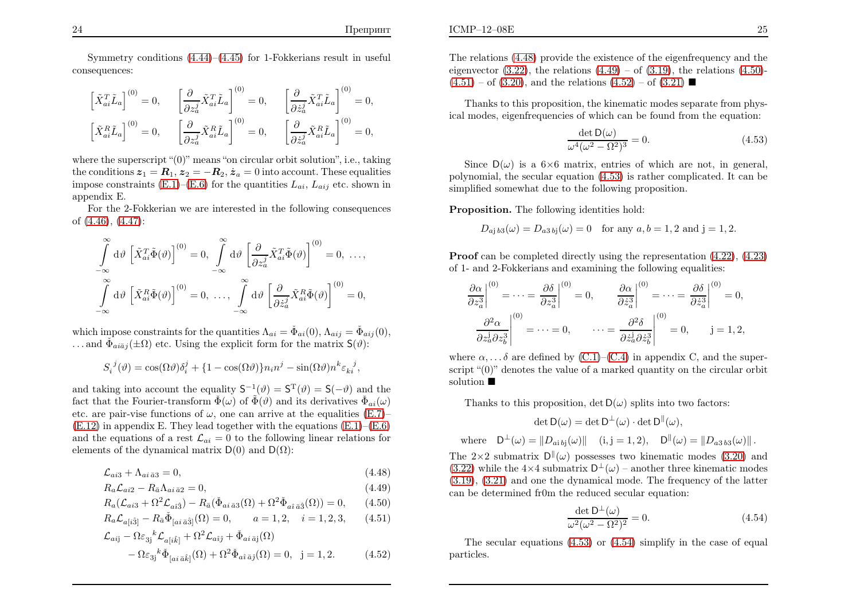Symmetry conditions [\(4.44\)](#page-12-3)–[\(4.45\)](#page-12-3) for 1-Fokkerians result in useful consequences:

$$
\begin{aligned}\n\left[\tilde{X}_{ai}^T \tilde{L}_a\right]^{(0)} &= 0, & \left[\frac{\partial}{\partial z_a^j} \tilde{X}_{ai}^T \tilde{L}_a\right]^{(0)} &= 0, & \left[\frac{\partial}{\partial \dot{z}_a^j} \tilde{X}_{ai}^T \tilde{L}_a\right]^{(0)} &= 0, \\
\left[\tilde{X}_{ai}^R \tilde{L}_a\right]^{(0)} &= 0, & \left[\frac{\partial}{\partial z_a^j} \tilde{X}_{ai}^R \tilde{L}_a\right]^{(0)} &= 0, & \left[\frac{\partial}{\partial \dot{z}_a^j} \tilde{X}_{ai}^R \tilde{L}_a\right]^{(0)} &= 0,\n\end{aligned}
$$

where the superscript "(0)" means "on circular orbit solution", i.e., taking the conditions  $z_1 = \mathbf{R}_1$ ,  $z_2 = -\mathbf{R}_2$ ,  $z_a = 0$  into account. These equalities impose constraints [\(E.1\)](#page-21-7)–[\(E.6\)](#page-21-7) for the quantities  $L_{ai}$ ,  $L_{aij}$  etc. shown in appendix E.

For the 2-Fokkerian we are interested in the following consequencesof [\(4.46\)](#page-12-3), [\(4.47\)](#page-12-3):

$$
\int_{-\infty}^{\infty} d\vartheta \left[ \tilde{X}_{ai}^T \tilde{\Phi}(\vartheta) \right]^{(0)} = 0, \int_{-\infty}^{\infty} d\vartheta \left[ \frac{\partial}{\partial z_a^j} \tilde{X}_{ai}^T \tilde{\Phi}(\vartheta) \right]^{(0)} = 0, \dots,
$$
  

$$
\int_{-\infty}^{\infty} d\vartheta \left[ \tilde{X}_{ai}^R \tilde{\Phi}(\vartheta) \right]^{(0)} = 0, \dots, \int_{-\infty}^{\infty} d\vartheta \left[ \frac{\partial}{\partial \dot{z}_a^j} \tilde{X}_{ai}^R \tilde{\Phi}(\vartheta) \right]^{(0)} = 0,
$$

which impose constraints for the quantities  $\Lambda_{ai}=\check{\Phi}_{ai}(0), \Lambda_{aij}=\check{\Phi}_{aij}(0),$ ... and  $\check{\Phi}_{ai\bar{a}j}(\pm \Omega)$  etc. Using the explicit form for the matrix  $\mathsf{S}(\vartheta)$ :

$$
S_i^{\ j}(\vartheta) = \cos(\Omega \vartheta) \delta_i^j + \{1 - \cos(\Omega \vartheta)\} n_i n^j - \sin(\Omega \vartheta) n^k \varepsilon_{ki}^{\ j},
$$

and taking into account the equality  $S^{-1}(\vartheta) = S^{T}(\vartheta) = S(-\vartheta)$  and the fact that the Fourier-transform  $\check{\Phi}(\omega)$  of  $\tilde{\Phi}(\vartheta)$  and its derivatives  $\check{\Phi}_{ai}(\omega)$ etc. are pair-vise functions of  $\omega$ , one can arrive at the equalities [\(E.7\)](#page-21-7)–  $(E.12)$  in appendix E. They lead together with the equations  $(E.1)$  $(E.1)$ – $(E.6)$ and the equations of a rest  $\mathcal{L}_{ai} = 0$  to the following linear relations for elements of the dynamical matrix  $D(0)$  and  $D(\Omega)$ :

$$
\mathcal{L}_{ai3} + \Lambda_{ai\,\bar{a}3} = 0,\tag{4.48}
$$

$$
R_a \mathcal{L}_{ai2} - R_{\bar{a}} \Lambda_{ai\,\bar{a}2} = 0,\tag{4.49}
$$

$$
R_a(\mathcal{L}_{ai3} + \Omega^2 \mathcal{L}_{a\hat{i}\hat{3}}) - R_{\bar{a}}(\check{\Phi}_{ai\,\bar{a}3}(\Omega) + \Omega^2 \check{\Phi}_{a\hat{i}\,\bar{a}\hat{3}}(\Omega)) = 0, \qquad (4.50)
$$

$$
R_a \mathcal{L}_{a[i\hat{3}]} - R_{\bar{a}} \check{\Phi}_{[ai\,\bar{a}\hat{3}]}(\Omega) = 0, \qquad a = 1, 2, \quad i = 1, 2, 3, \tag{4.51}
$$

$$
\mathcal{L}_{aij} - \Omega \varepsilon_{3j}{}^{k} \mathcal{L}_{a[i\hat{k}]} + \Omega^{2} \mathcal{L}_{a\hat{i}\hat{j}} + \Phi_{ai\,\bar{a}j}(\Omega) \n- \Omega \varepsilon_{3j}{}^{k} \Phi_{[ai\,\bar{a}\hat{k}]}(\Omega) + \Omega^{2} \Phi_{a\hat{i}\,\bar{a}\hat{j}}(\Omega) = 0, \quad j = 1, 2.
$$
\n(4.52)

The relations [\(4.48\)](#page-13-0) provide the existence of the eigenfrequency and theeigenvector  $(3.22)$ , the relations  $(4.49) (4.49) -$  of  $(3.19)$ , the relations  $(4.50)$ - $(4.51) - of (3.20)$  $(4.51) - of (3.20)$  $(4.51) - of (3.20)$ , and the relations  $(4.52) - of (3.21)$  $(4.52) - of (3.21)$  $(4.52) - of (3.21)$ 

Thanks to this proposition, the kinematic modes separate from <sup>p</sup>hysical modes, eigenfrequencies of which can be found from the equation:

<span id="page-13-1"></span>
$$
\frac{\det \mathsf{D}(\omega)}{\omega^4 (\omega^2 - \Omega^2)^3} = 0. \tag{4.53}
$$

<span id="page-13-0"></span>Since  $D(\omega)$  is a  $6\times6$  matrix, entries of which are not, in general, polynomial, the secular equation [\(4.53\)](#page-13-1) is rather complicated. It can besimplified somewhat due to the following proposition.

Proposition. The following identities hold:

$$
D_{aj\,b3}(\omega) = D_{a3\,bj}(\omega) = 0
$$
 for any  $a, b = 1, 2$  and  $j = 1, 2$ .

<span id="page-13-2"></span>Proof can be completed directly using the representation  $(4.22)$  $(4.22)$ ,  $(4.23)$ of 1- and 2-Fokkerians and examining the following equalities:

$$
\frac{\partial \alpha}{\partial z_a^3} \Big|^{(0)} = \dots = \frac{\partial \delta}{\partial z_a^3} \Big|^{(0)} = 0, \qquad \frac{\partial \alpha}{\partial \dot{z}_a^3} \Big|^{(0)} = \dots = \frac{\partial \delta}{\partial \dot{z}_a^3} \Big|^{(0)} = 0,
$$

$$
\frac{\partial^2 \alpha}{\partial z_a^j \partial z_b^3} \Big|^{(0)} = \dots = 0, \qquad \dots = \frac{\partial^2 \delta}{\partial \dot{z}_a^j \partial \dot{z}_b^3} \Big|^{(0)} = 0, \qquad j = 1, 2,
$$

where  $\alpha, \ldots \delta$  are defined by [\(C.1\)](#page-21-7)–[\(C.4](#page-21-7)) in appendix C, and the superscript "(0)" denotes the value of <sup>a</sup> marked quantity on the circular orbitsolution

Thanks to this proposition,  $\det D(\omega)$  splits into two factors:

$$
\det \mathsf{D}(\omega) = \det \mathsf{D}^{\perp}(\omega) \cdot \det \mathsf{D}^{\parallel}(\omega),
$$

where  $D^{\perp}(\omega) = ||D_{a}i b j}(\omega)||$   $(i, j = 1, 2),$   $D^{\parallel}(\omega) = ||D_{a3 b3}(\omega)||$ .

The  $2\times2$  submatrix  $D^{\parallel}(\omega)$  possesses two kinematic modes [\(3.20\)](#page-8-7) and [\(3.22\)](#page-8-6) while the  $4\times4$  submatrix  $D^{\perp}(\omega)$  – another three kinematic modes [\(3.19\)](#page-8-5), [\(3.21\)](#page-8-8) and one the dynamical mode. The frequency of the lattercan be determined fr0m the reduced secular equation:

$$
\frac{\det \mathsf{D}^{\perp}(\omega)}{\omega^2 (\omega^2 - \Omega^2)^2} = 0.
$$
\n(4.54)

The secular equations [\(4.53\)](#page-13-1) or [\(4.54\)](#page-13-2) simplify in the case of equa<sup>l</sup> particles.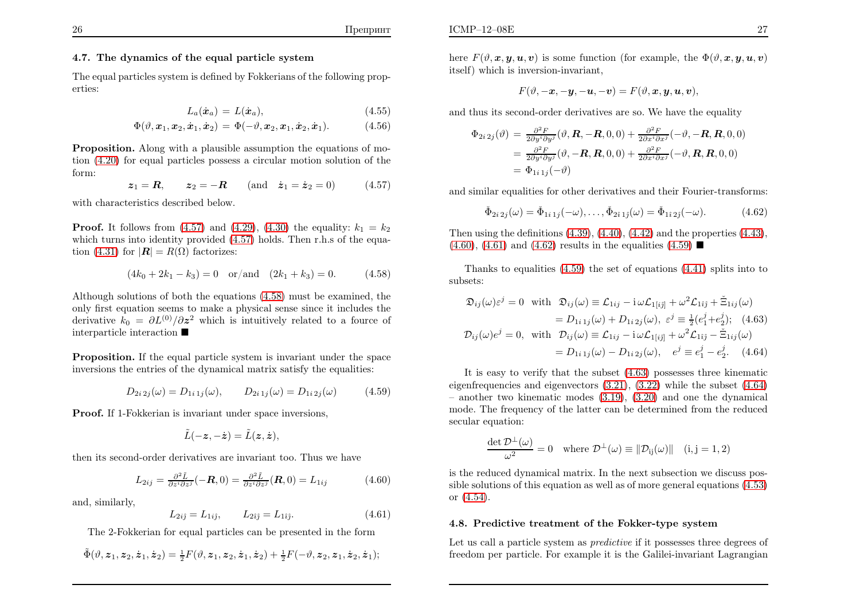#### 4.7. The dynamics of the equal particle system

 The equa<sup>l</sup> particles system is defined by Fokkerians of the following properties:

<span id="page-14-3"></span>
$$
L_a(\dot{\boldsymbol{x}}_a) = L(\dot{\boldsymbol{x}}_a), \tag{4.55}
$$

$$
\Phi(\vartheta,\boldsymbol{x}_1,\boldsymbol{x}_2,\dot{\boldsymbol{x}}_1,\dot{\boldsymbol{x}}_2)=\Phi(-\vartheta,\boldsymbol{x}_2,\boldsymbol{x}_1,\dot{\boldsymbol{x}}_2,\dot{\boldsymbol{x}}_1). \hspace{1cm} (4.56)
$$

Proposition. Along with <sup>a</sup> <sup>p</sup>lausible assumption the equations of motion [\(4.20\)](#page-10-0) for equa<sup>l</sup> particles possess <sup>a</sup> circular motion solution of theform:

$$
z_1 = R
$$
,  $z_2 = -R$  (and  $\dot{z}_1 = \dot{z}_2 = 0$ ) (4.57)

with characteristics described below.

**Proof.** It follows from  $(4.57)$  $(4.57)$  and  $(4.29)$ ,  $(4.30)$  $(4.30)$  the equality:  $k_1 = k_2$  which turns into identity provided [\(4.57\)](#page-14-0) holds. Then r.h.s of the equa-tion [\(4.31\)](#page-11-2) for  $|\mathbf{R}| = R(\Omega)$  factorizes:

$$
(4k_0 + 2k_1 - k_3) = 0 \quad \text{or/and} \quad (2k_1 + k_3) = 0. \tag{4.58}
$$

Although solutions of both the equations [\(4.58\)](#page-14-1) must be examined, the only first equation seems to make <sup>a</sup> <sup>p</sup>hysical sense since it includes thederivative  $k_0 = \partial L^{(0)}/\partial z^2$  which is intuitively related to a fource of interparticle interaction

Proposition. If the equa<sup>l</sup> particle system is invariant under the spaceinversions the entries of the dynamical matrix satisfy the equalities:

$$
D_{2i\,2j}(\omega) = D_{1i\,1j}(\omega), \qquad D_{2i\,1j}(\omega) = D_{1i\,2j}(\omega) \tag{4.59}
$$

Proof. If 1-Fokkerian is invariant under space inversions,

$$
\tilde{L}(-\boldsymbol{z}, -\dot{\boldsymbol{z}})=\tilde{L}(\boldsymbol{z}, \dot{\boldsymbol{z}}),
$$

then its second-order derivatives are invariant too. Thus we have

$$
L_{2ij} = \frac{\partial^2 \tilde{L}}{\partial z^i \partial z^j} (-\mathbf{R}, 0) = \frac{\partial^2 \tilde{L}}{\partial z^i \partial z^j} (\mathbf{R}, 0) = L_{1ij}
$$
(4.60)

and, similarly,

$$
L_{2ij} = L_{1ij}, \qquad L_{2ij} = L_{1ij}.
$$
 (4.61)

The 2-Fokkerian for equa<sup>l</sup> particles can be presented in the form

$$
\tilde{\Phi}(\vartheta,z_1,z_2,\dot{z}_1,\dot{z}_2)=\tfrac{1}{2}F(\vartheta,z_1,z_2,\dot{z}_1,\dot{z}_2)+\tfrac{1}{2}F(-\vartheta,z_2,z_1,\dot{z}_2,\dot{z}_1);
$$

here  $F(\vartheta, x, y, u, v)$  is some function (for example, the  $\Phi(\vartheta, x, y, u, v)$ itself) which is inversion-invariant,

<span id="page-14-4"></span>
$$
F(\vartheta,-\boldsymbol{x},-\boldsymbol{y},-\boldsymbol{u},-\boldsymbol{v})=F(\vartheta,\boldsymbol{x},\boldsymbol{y},\boldsymbol{u},\boldsymbol{v}),
$$

and thus its second-order derivatives are so. We have the equality

<span id="page-14-6"></span>
$$
\Phi_{2i\,2j}(\vartheta) = \frac{\partial^2 F}{2\partial y^i \partial y^j}(\vartheta, \mathbf{R}, -\mathbf{R}, 0, 0) + \frac{\partial^2 F}{2\partial x^i \partial x^j}(-\vartheta, -\mathbf{R}, \mathbf{R}, 0, 0)
$$
  
\n
$$
= \frac{\partial^2 F}{2\partial y^i \partial y^j}(\vartheta, -\mathbf{R}, \mathbf{R}, 0, 0) + \frac{\partial^2 F}{2\partial x^i \partial x^j}(-\vartheta, \mathbf{R}, \mathbf{R}, 0, 0)
$$
  
\n
$$
= \Phi_{1i\,1j}(-\vartheta)
$$

<span id="page-14-5"></span><span id="page-14-2"></span>and similar equalities for other derivatives and their Fourier-transforms:

<span id="page-14-1"></span><span id="page-14-0"></span>
$$
\check{\Phi}_{2i\,2j}(\omega) = \check{\Phi}_{1i\,1j}(-\omega), \dots, \check{\Phi}_{2i\,1j}(\omega) = \check{\Phi}_{1i\,2j}(-\omega). \tag{4.62}
$$

Then using the definitions  $(4.39)$ ,  $(4.40)$ ,  $(4.42)$  $(4.42)$  and the properties  $(4.43)$ ,  $(4.60), (4.61)$  $(4.60), (4.61)$  $(4.60), (4.61)$  and  $(4.62)$  results in the equalities  $(4.59)$ 

Thanks to equalities ([4.59\)](#page-14-5) the set of equations [\(4.41\)](#page-12-0) splits into tosubsets:

$$
\mathfrak{D}_{ij}(\omega)\varepsilon^j = 0 \quad \text{with} \quad \mathfrak{D}_{ij}(\omega) \equiv \mathcal{L}_{1ij} - i \,\omega \mathcal{L}_{1[i\hat{j}]} + \omega^2 \mathcal{L}_{1\hat{i}\hat{j}} + \tilde{\Xi}_{1ij}(\omega) \n= D_{1i\,1j}(\omega) + D_{1i\,2j}(\omega), \quad \varepsilon^j \equiv \frac{1}{2}(e_1^j + e_2^j); \quad (4.63)
$$
\n
$$
\mathcal{D}_{ij}(\omega)e^j = 0, \quad \text{with} \quad \mathcal{D}_{ij}(\omega) \equiv \mathcal{L}_{1ij} - i \,\omega \mathcal{L}_{1[i\hat{j}]} + \omega^2 \mathcal{L}_{1\hat{i}\hat{j}} - \tilde{\Xi}_{1ij}(\omega) \n= D_{1i\,1j}(\omega) - D_{1i\,2j}(\omega), \quad e^j \equiv e_1^j - e_2^j. \quad (4.64)
$$

It is easy to verify that the subset [\(4.63\)](#page-14-6) possesses three kinematic eigenfrequencies and eigenvectors [\(3.21\)](#page-8-8), [\(3.22\)](#page-8-6) while the subset [\(4.64\)](#page-14-6) – another two kinematic modes [\(3.19\)](#page-8-5), [\(3.20\)](#page-8-7) and one the dynamical mode. The frequency of the latter can be determined from the reducedsecular equation:

$$
\frac{\det \mathcal{D}^{\perp}(\omega)}{\omega^2} = 0 \quad \text{where } \mathcal{D}^{\perp}(\omega) \equiv ||\mathcal{D}_{ij}(\omega)|| \quad (i, j = 1, 2)
$$

is the reduced dynamical matrix. In the next subsection we discuss possible solutions of this equation as well as of more genera<sup>l</sup> equations [\(4.53\)](#page-13-1)or [\(4.54\)](#page-13-2).

#### 4.8. Predictive treatment of the Fokker-type system

Let us call a particle system as *predictive* if it possesses three degrees of freedom per particle. For example it is the Galilei-invariant Lagrangian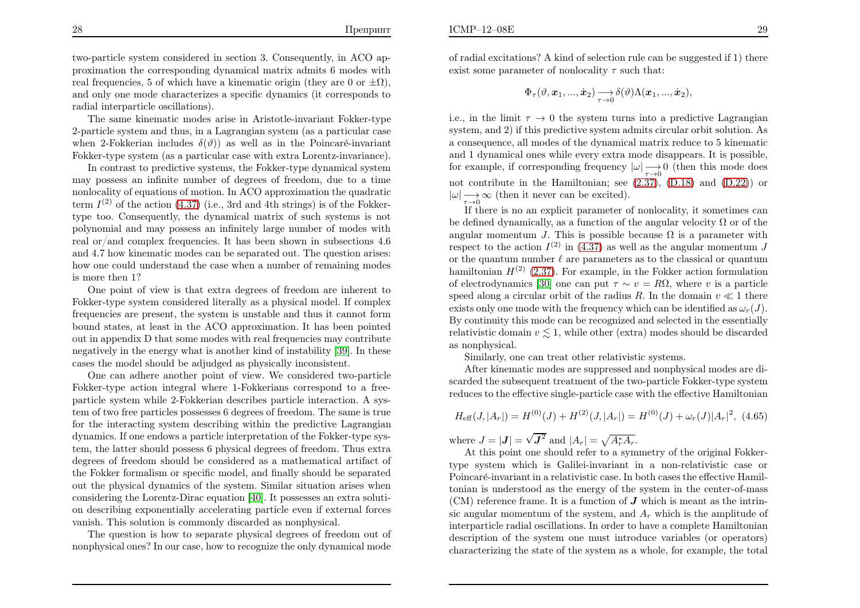ICMP–12–08E

two-particle system considered in section 3. Consequently, in ACO approximation the corresponding dynamical matrix admits <sup>6</sup> modes withreal frequencies, 5 of which have a kinematic origin (they are 0 or  $\pm \Omega$ ), and only one mode characterizes <sup>a</sup> specific dynamics (it corresponds toradial interparticle oscillations).

The same kinematic modes arise in Aristotle-invariant Fokker-type 2-particle system and thus, in <sup>a</sup> Lagrangian system (as <sup>a</sup> particular casewhen 2-Fokkerian includes  $\delta(\vartheta)$  as well as in the Poincaré-invariant Fokker-type system (as <sup>a</sup> particular case with extra Lorentz-invariance).

In contrast to predictive systems, the Fokker-type dynamical system may possess an infinite number of degrees of freedom, due to <sup>a</sup> time nonlocality of equations of motion. In ACO approximation the quadraticterm  $I^{(2)}$  of the action [\(4.37\)](#page-12-7) (i.e., 3rd and 4th strings) is of the Fokker type too. Consequently, the dynamical matrix of such systems is not polynomial and may possess an infinitely large number of modes with real or/and complex frequencies. It has been shown in subsections 4.6 and 4.7 how kinematic modes can be separated out. The question arises: how one could understand the case when <sup>a</sup> number of remaining modesis more then 1?

 One point of view is that extra degrees of freedom are inherent to Fokker-type system considered literally as <sup>a</sup> <sup>p</sup>hysical model. If complex frequencies are present, the system is unstable and thus it cannot form bound states, at least in the ACO approximation. It has been pointed out in appendix <sup>D</sup> that some modes with real frequencies may contribute negatively in the energy what is another kind of instability [\[39\]](#page-22-24). In these cases the model should be adjudged as <sup>p</sup>hysically inconsistent.

One can adhere another point of view. We considered two-particle Fokker-type action integral where 1-Fokkerians correspond to <sup>a</sup> freeparticle system while 2-Fokkerian describes particle interaction. <sup>A</sup> system of two free particles possesses <sup>6</sup> degrees of freedom. The same is true for the interacting system describing within the predictive Lagrangian dynamics. If one endows <sup>a</sup> particle interpretation of the Fokker-type system, the latter should possess <sup>6</sup> <sup>p</sup>hysical degrees of freedom. Thus extra degrees of freedom should be considered as <sup>a</sup> mathematical artifact of the Fokker formalism or specific model, and finally should be separated out the <sup>p</sup>hysical dynamics of the system. Similar situation arises when considering the Lorentz-Dirac equation [\[40\]](#page-22-25). It possesses an extra solution describing exponentially accelerating particle even if external forcesvanish. This solution is commonly discarded as nonphysical.

The question is how to separate <sup>p</sup>hysical degrees of freedom out of nonphysical ones? In our case, how to recognize the only dynamical mode of radial excitations? <sup>A</sup> kind of selection rule can be suggested if 1) thereexist some parameter of nonlocality  $\tau$  such that:

$$
\Phi_{\tau}(\vartheta,\boldsymbol{x}_1,...,\dot{\boldsymbol{x}}_2)\mathop{\longrightarrow}\limits_{\tau\rightarrow 0}\delta(\vartheta)\Lambda(\boldsymbol{x}_1,...,\dot{\boldsymbol{x}}_2),
$$

<span id="page-15-0"></span>i.e., in the limit  $\tau \to 0$  the system turns into a predictive Lagrangian system and 2) if this predictive system admits circular orbit solution. As system, and 2) if this predictive system admits circular orbit solution. As <sup>a</sup> consequence, all modes of the dynamical matrix reduce to <sup>5</sup> kinematic and <sup>1</sup> dynamical ones while every extra mode disappears. It is possible, for example, if corresponding frequency  $|\omega| \longrightarrow 0$  (then this mode does not contribute in the Hamiltonian; see [\(2.37\)](#page-6-0), [\(D.18](#page-20-0)) and [\(D.22\)](#page-20-1)) or $|\omega| \longrightarrow \infty$  (then it never can be excited).

 If there is no an explicit parameter of nonlocality, it sometimes canbe defined dynamically, as a function of the angular velocity  $\Omega$  or of the angular momentum J. This is possible because  $\Omega$  is a parameter with respect to the action  $I^{(2)}$  in [\(4.37\)](#page-12-7) as well as the angular momentum J or the quantum number  $\ell$  are parameters as to the classical or quantum hamiltonian  $H^{(2)}$  [\(2.37\)](#page-6-0). For example, in the Fokker action formulation of electrodynamics [\[30\]](#page-22-14) one can put  $\tau \sim v = R\Omega$ , where v is a particle speed along a circular orbit of the radius R. In the domain  $v \ll 1$  there exists only one mode with the frequency which can be identified as  $\omega(T)$ exists only one mode with the frequency which can be identified as  $\omega_r(J)$ . By continuity this mode can be recognized and selected in the essentiallyrelativistic domain  $v \lesssim 1$ , while other (extra) modes should be discarded as nonphysical.

Similarly, one can treat other relativistic systems.

After kinematic modes are suppressed and nonphysical modes are discarded the subsequent treatment of the two-particle Fokker-type systemreduces to the effective single-particle case with the effective Hamiltonian

$$
H_{\text{eff}}(J, |A_r|) = H^{(0)}(J) + H^{(2)}(J, |A_r|) = H^{(0)}(J) + \omega_r(J)|A_r|^2, \tag{4.65}
$$

where  $J = |\mathbf{J}| = \sqrt{\mathbf{J}^2}$  and  $|A_r| = \sqrt{A_r^*A_r}$ .

 At this point one should refer to <sup>a</sup> symmetry of the original Fokkertype system which is Galilei-invariant in <sup>a</sup> non-relativistic case orPoincaré-invariant in a relativistic case. In both cases the effective Hamiltonian is understood as the energy of the system in the center-of-mass $(CM)$  reference frame. It is a function of  $J$  which is meant as the intrinsic angular momentum of the system, and  $A_r$  which is the amplitude of interparticle radial oscillations. In order to have <sup>a</sup> complete Hamiltonian description of the system one must introduce variables (or operators)characterizing the state of the system as <sup>a</sup> whole, for example, the total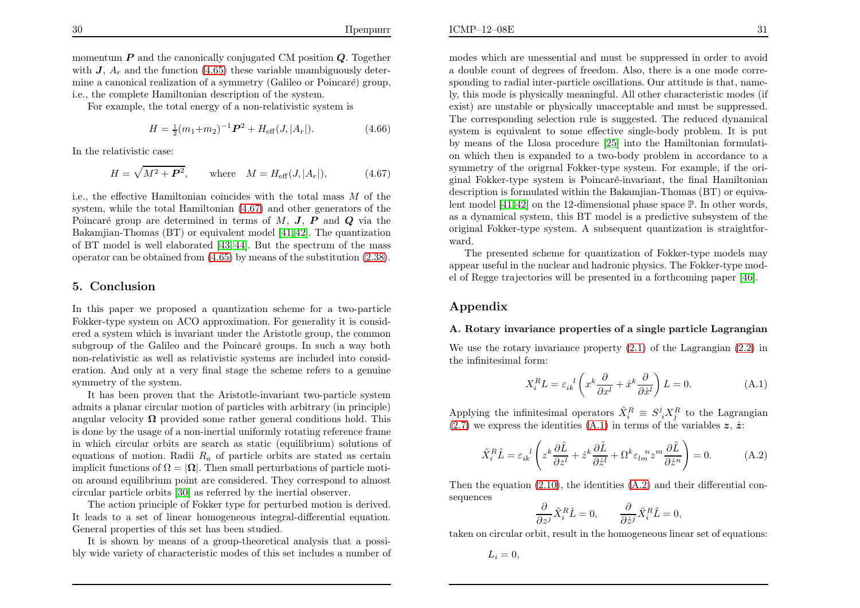<span id="page-16-0"></span> $\mathbf{E}$  31

momentum  $P$  and the canonically conjugated CM position  $Q$ . Together with  $J$ ,  $A_r$  and the function [\(4.65\)](#page-15-0) these variable unambiguously determine a canonical realization of a symmetry (Galileo or Poincaré) group, i.e., the complete Hamiltonian description of the system.

For example, the total energy of <sup>a</sup> non-relativistic system is

$$
H = \frac{1}{2}(m_1 + m_2)^{-1} \mathbf{P}^2 + H_{\text{eff}}(J, |A_r|). \tag{4.66}
$$

In the relativistic case:

$$
H = \sqrt{M^2 + P^2}
$$
, where  $M = H_{\text{eff}}(J, |A_r|)$ , (4.67)

i.e., the effective Hamiltonian coincides with the total mass  $M$  of the system while the total Hamiltonian  $(4.67)$  and other generators of the system, while the total Hamiltonian [\(4.67\)](#page-16-0) and other generators of thePoincaré group are determined in terms of  $M$ ,  $J$ ,  $P$  and  $Q$  via the <br>Polymijan Themas (PT) or equivalent model [41,49]. The questionian Bakamjian-Thomas (BT) or equivalent model [\[41](#page-23-0), [42\]](#page-23-1). The quantization of BT model is well elaborated [\[43](#page-23-2), [44\]](#page-23-3). But the spectrum of the massoperator can be obtained from [\(4.65\)](#page-15-0) by means of the substitution [\(2.38\)](#page-6-4).

### 5. Conclusion

In this paper we proposed <sup>a</sup> quantization scheme for <sup>a</sup> two-particle Fokker-type system on ACO approximation. For generality it is considered <sup>a</sup> system which is invariant under the Aristotle group, the commonsubgroup of the Galileo and the Poincaré groups. In such a way both non-relativistic as well as relativistic systems are included into consideration. And only at <sup>a</sup> very final stage the scheme refers to <sup>a</sup> genuinesymmetry of the system.

It has been proven that the Aristotle-invariant two-particle system admits <sup>a</sup> <sup>p</sup>lanar circular motion of particles with arbitrary (in principle) angular velocity  $\Omega$  provided some rather general conditions hold. This is done by the usage of <sup>a</sup> non-inertial uniformly rotating reference frame in which circular orbits are search as static (equilibrium) solutions of equations of motion. Radii  $R_a$  of particle orbits are stated as certain implicit functions of  $\Omega = |\Omega|$ . Then small perturbations of particle motions of particle motions of particle motions of particle motions of particle motions of particle motions of particle motions of particle motions of p on around equilibrium point are considered. They correspond to almostcircular particle orbits [\[30\]](#page-22-14) as referred by the inertial observer.

The action principle of Fokker type for perturbed motion is derived. It leads to <sup>a</sup> set of linear homogeneous integral-differential equation. General properties of this set has been studied.

It is shown by means of <sup>a</sup> group-theoretical analysis that <sup>a</sup> possibly wide variety of characteristic modes of this set includes <sup>a</sup> number of modes which are unessential and must be suppressed in order to avoid <sup>a</sup> double count of degrees of freedom. Also, there is <sup>a</sup> one mode corresponding to radial inter-particle oscillations. Our attitude is that, namely, this mode is <sup>p</sup>hysically meaningful. All other characteristic modes (if exist) are unstable or <sup>p</sup>hysically unacceptable and must be suppressed. The corresponding selection rule is suggested. The reduced dynamical system is equivalent to some effective single-body problem. It is put by means of the Llosa procedure [\[25\]](#page-22-10) into the Hamiltonian formulation which then is expanded to <sup>a</sup> two-body problem in accordance to <sup>a</sup> symmetry of the origrnal Fokker-type system. For example, if the ori<sup>g</sup>inal Fokker-type system is Poincar´e-invariant, the final Hamiltonian description is formulated within the Bakamjian-Thomas (BT) or equivalent model  $[41, 42]$  $[41, 42]$  $[41, 42]$  on the 12-dimensional phase space  $\mathbb{P}$ . In other words, as <sup>a</sup> dynamical system, this BT model is <sup>a</sup> predictive subsystem of the original Fokker-type system. <sup>A</sup> subsequent quantization is straightforward.

The presented scheme for quantization of Fokker-type models may appear useful in the nuclear and hadronic <sup>p</sup>hysics. The Fokker-type model of Regge trajectories will be presented in <sup>a</sup> forthcoming paper [\[46\]](#page-23-4).

## Appendix

### A. Rotary invariance properties of <sup>a</sup> single particle Lagrangian

We use the rotary invariance property [\(2.1\)](#page-2-3) of the Lagrangian [\(2.2\)](#page-2-2) inthe infinitesimal form:

$$
X_i^R L = \varepsilon_{ik}^{\ \ l} \left( x^k \frac{\partial}{\partial x^l} + \dot{x}^k \frac{\partial}{\partial \dot{x}^l} \right) L = 0.
$$
 (A.1)

Applying the infinitesimal operators  $\tilde{X}_i^R \equiv S^j_i X_j^R$  to the Lagrangian [\(2.7\)](#page-3-0) we express the identities [\(A.1\)](#page-21-7) in terms of the variables  $z, \dot{z}$ :

$$
\tilde{X}_i^R \tilde{L} = \varepsilon_{ik}^{\ \ l} \left( z^k \frac{\partial \tilde{L}}{\partial z^l} + \dot{z}^k \frac{\partial \tilde{L}}{\partial \dot{z}^l} + \Omega^k \varepsilon_{lm}^{\ \ m} z^m \frac{\partial \tilde{L}}{\partial \dot{z}^n} \right) = 0. \tag{A.2}
$$

Then the equation [\(2.10\)](#page-3-1), the identities [\(A.2\)](#page-18-0) and their differential consequences

$$
\frac{\partial}{\partial z^j} \tilde{X}_i^R \tilde{L} = 0, \qquad \frac{\partial}{\partial \dot{z}^j} \tilde{X}_i^R \tilde{L} = 0,
$$

taken on circular orbit, result in the homogeneous linear set of equations:

$$
L_i=0,
$$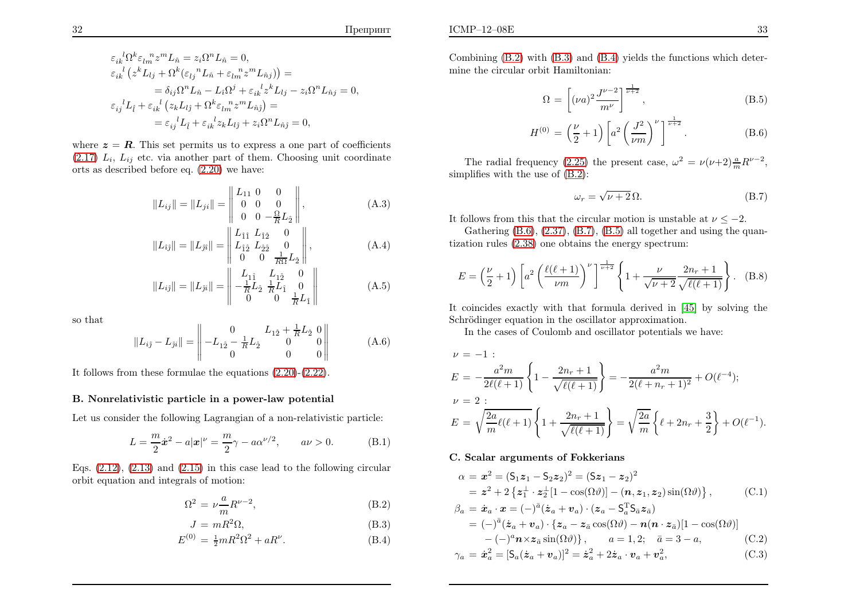where  $z=R$ . This set permits us to express a one part of coefficients  $(2.17) L_i$  $(2.17) L_i$ ,  $L_{ij}$  etc. via another part of them. Choosing unit coordinate orts as described before eq. [\(2.20\)](#page-4-0) we have:

$$
||L_{ij}|| = ||L_{ji}|| = \begin{vmatrix} L_{11} & 0 & 0 \\ 0 & 0 & 0 \\ 0 & 0 & -\frac{\Omega}{R}L_2 \end{vmatrix},
$$
 (A.3)

$$
||L_{\hat{i}\hat{j}}|| = ||L_{\hat{j}\hat{i}}|| = \begin{vmatrix} L_{\hat{1}\hat{1}} & L_{\hat{1}\hat{2}} & 0 \\ L_{\hat{1}\hat{2}} & L_{\hat{2}\hat{2}} & 0 \\ 0 & 0 & \frac{1}{R\Omega}L_{\hat{2}} \end{vmatrix},
$$
(A.4)

$$
||L_{ij}|| = ||L_{ji}|| = \begin{vmatrix} L_{1\hat{1}} & L_{1\hat{2}} & 0 \\ -\frac{1}{R}L_{\hat{2}} & \frac{1}{R}L_{\hat{1}} & 0 \\ 0 & 0 & \frac{1}{R}L_{\hat{1}} \end{vmatrix}
$$
 (A.5)

so that

$$
||L_{ij} - L_{ji}|| = \left\| -L_{1\hat{2}} - \frac{1}{R}L_{\hat{2}} \begin{array}{ccc} 0 & L_{1\hat{2}} + \frac{1}{R}L_{\hat{2}} & 0 \\ 0 & 0 & 0 \end{array} \right\| \tag{A.6}
$$

It follows from these formulae the equations [\(2.20\)](#page-4-0)-[\(2.22\)](#page-4-0).

 $\overline{11}$ 

### B. Nonrelativistic particle in <sup>a</sup> power-law potential

Let us consider the following Lagrangian of <sup>a</sup> non-relativistic particle:

$$
L = \frac{m}{2}\dot{x}^{2} - a|x|^{\nu} = \frac{m}{2}\gamma - a\alpha^{\nu/2}, \qquad a\nu > 0.
$$
 (B.1)

Eqs.  $(2.12)$ ,  $(2.13)$  and  $(2.15)$  $(2.15)$  in this case lead to the following circular orbit equation and integrals of motion:

$$
\Omega^2 = \nu \frac{a}{m} R^{\nu - 2},\tag{B.2}
$$

$$
J = mR^2\Omega,
$$
 (B.3)

$$
E^{(0)} = \frac{1}{2}mR^2\Omega^2 + aR^\nu.
$$
 (B.4)

Combining [\(B.2\)](#page-18-0) with [\(B.3\)](#page-18-0) and [\(B.4\)](#page-18-0) <sup>y</sup>ields the functions which determine the circular orbit Hamiltonian:

$$
\Omega = \left[ (\nu a)^2 \frac{J^{\nu - 2}}{m^{\nu}} \right]^{\frac{1}{\nu + 2}}, \tag{B.5}
$$

$$
H^{(0)} = \left(\frac{\nu}{2} + 1\right) \left[ a^2 \left(\frac{J^2}{\nu m}\right)^{\nu} \right]^{\frac{1}{\nu + 2}}.
$$
 (B.6)

The radial frequency [\(2.25\)](#page-4-4) the present case,  $\omega^2 = \nu(\nu+2) \frac{a}{m} R^{\nu-2}$ , simplifies with the use of [\(B.2\)](#page-18-0):

$$
\omega_r = \sqrt{\nu + 2} \,\Omega. \tag{B.7}
$$

It follows from this that the circular motion is unstable at  $\nu \le -2$ .<br>Cathering (B c) (9.27) (B 7) (B i) all tanth was design that

Gathering [\(B.6\)](#page-18-1), [\(2.37\)](#page-6-0), [\(B.7\)](#page-18-2), [\(B.5\)](#page-18-1) all together and using the quantization rules [\(2.38\)](#page-6-4) one obtains the energy spectrum:

$$
E = \left(\frac{\nu}{2} + 1\right) \left[ a^2 \left( \frac{\ell(\ell+1)}{\nu m} \right)^{\nu} \right]^{\frac{1}{\nu+2}} \left\{ 1 + \frac{\nu}{\sqrt{\nu+2}} \frac{2n_r + 1}{\sqrt{\ell(\ell+1)}} \right\}.
$$
 (B.8)

It coincides exactly with that formula derived in [\[45\]](#page-23-5) by solving theSchrödinger equation in the oscillator approximation.

In the cases of Coulomb and oscillator potentials we have:

$$
\nu = -1:
$$
\n
$$
E = -\frac{a^2 m}{2\ell(\ell+1)} \left\{ 1 - \frac{2n_r + 1}{\sqrt{\ell(\ell+1)}} \right\} = -\frac{a^2 m}{2(\ell+n_r+1)^2} + O(\ell^{-4});
$$
\n
$$
\nu = 2:
$$
\n
$$
E = \sqrt{\frac{2a}{m}\ell(\ell+1)} \left\{ 1 + \frac{2n_r + 1}{\sqrt{\ell(\ell+1)}} \right\} = \sqrt{\frac{2a}{m}} \left\{ \ell+2n_r + \frac{3}{2} \right\} + O(\ell^{-1}).
$$

#### C. Scalar arguments of Fokkerians

$$
\alpha = \mathbf{x}^2 = (S_1 z_1 - S_2 z_2)^2 = (S z_1 - z_2)^2
$$
  
=  $\mathbf{z}^2 + 2 \{ z_1^{\perp} \cdot z_2^{\perp} [1 - \cos(\Omega \vartheta)] - (\mathbf{n}, z_1, z_2) \sin(\Omega \vartheta) \},$  (C.1)

$$
\beta_a = \dot{\mathbf{x}}_a \cdot \mathbf{x} = (-)^{\bar{a}} (\dot{\mathbf{z}}_a + \mathbf{v}_a) \cdot (\mathbf{z}_a - \mathbf{S}_a^{\mathrm{T}} \mathbf{S}_{\bar{a}} \mathbf{z}_{\bar{a}})
$$
  
\n
$$
= (-)^{\bar{a}} (\dot{\mathbf{z}}_a + \mathbf{v}_a) \cdot {\mathbf{z}_a - \mathbf{z}_{\bar{a}} \cos(\Omega \vartheta) - \mathbf{n} (\mathbf{n} \cdot \mathbf{z}_{\bar{a}}) [1 - \cos(\Omega \vartheta)]
$$
  
\n
$$
- (-)^a \mathbf{n} \times \mathbf{z}_{\bar{a}} \sin(\Omega \vartheta) , \qquad a = 1, 2; \quad \bar{a} = 3 - a,
$$
 (C.2)

$$
\gamma_a = \dot{x}_a^2 = [S_a(\dot{z}_a + \boldsymbol{v}_a)]^2 = \dot{z}_a^2 + 2\dot{z}_a \cdot \boldsymbol{v}_a + \boldsymbol{v}_a^2,\tag{C.3}
$$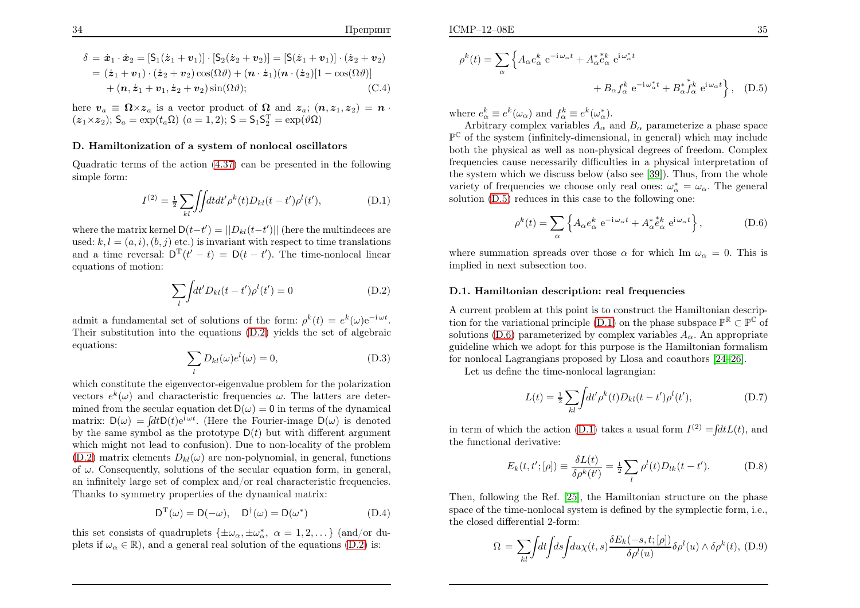$$
\delta = \dot{\boldsymbol{x}}_1 \cdot \dot{\boldsymbol{x}}_2 = \left[ S_1(\dot{z}_1 + \boldsymbol{v}_1) \right] \cdot \left[ S_2(\dot{z}_2 + \boldsymbol{v}_2) \right] = \left[ S(\dot{z}_1 + \boldsymbol{v}_1) \right] \cdot (\dot{z}_2 + \boldsymbol{v}_2)
$$
  
\n
$$
= (\dot{z}_1 + \boldsymbol{v}_1) \cdot (\dot{z}_2 + \boldsymbol{v}_2) \cos(\Omega \vartheta) + (\boldsymbol{n} \cdot \dot{z}_1) (\boldsymbol{n} \cdot (\dot{z}_2) [1 - \cos(\Omega \vartheta))]
$$
  
\n
$$
+ (\boldsymbol{n}, \dot{z}_1 + \boldsymbol{v}_1, \dot{z}_2 + \boldsymbol{v}_2) \sin(\Omega \vartheta); \tag{C.4}
$$

here  $v_a \equiv \Omega \times z_a$  is a vector product of  $\Omega$  and  $z_a$ ;  $(n, z_1, z_2) = n \cdot (z_1 \times z_2)$  $(z_1 \times z_2); S_a = \exp(t_a \Omega)$   $(a = 1, 2); S = S_1 S_2^T = \exp(\vartheta \Omega)$ 

#### D. Hamiltonization of <sup>a</sup> system of nonlocal oscillators

Quadratic terms of the action [\(4.37\)](#page-12-7) can be presented in the followingsimple form:

<span id="page-18-4"></span>
$$
I^{(2)} = \frac{1}{2} \sum_{kl} \iint dt dt' \rho^k(t) D_{kl}(t - t') \rho^l(t'), \tag{D.1}
$$

where the matrix kernel  $D(t-t') = ||D_{kl}(t-t')||$  (here the multindeces are used:  $k, l = (a, i), (b, j)$  etc.) is invariant with respect to time translations and a time reversal:  $D^{T}(t'-t) = D(t-t')$ . The time-nonlocal linear equations of motion:

<span id="page-18-7"></span>
$$
\sum_{l} \int dt' D_{kl}(t - t')\rho^{l}(t') = 0
$$
\n(D.2)

admit a fundamental set of solutions of the form:  $\rho^k(t) = e^k(\omega)e^{-i\omega t}$ . Their substitution into the equations [\(D.2\)](#page-18-0) <sup>y</sup>ields the set of algebraicequations:

$$
\sum_{l} D_{kl}(\omega)e^{l}(\omega) = 0, \tag{D.3}
$$

which constitute the eigenvector-eigenvalue problem for the polarizationvectors  $e^{k}(\omega)$  and characteristic frequencies  $\omega$ . The latters are determined from the secular equation det  $\mathsf{D}(\omega) = 0$  in terms of the dynamical matrix:  $D(\omega) = \int dt D(t)e^{i\omega t}$ . (Here the Fourier-image  $D(\omega)$  is denoted by the same symbol as the prototype  $D(t)$  but with different argument which might not lead to confusion). Due to non-locality of the problem $(D.2)$  matrix elements  $D_{kl}(\omega)$  are non-polynomial, in general, functions of  $\omega$ . Consequently, solutions of the secular equation form, in general, an infinitely large set of complex and/or real characteristic frequencies. Thanks to symmetry properties of the dynamical matrix:

$$
D^{T}(\omega) = D(-\omega), \quad D^{\dagger}(\omega) = D(\omega^{*})
$$
 (D.4)

this set consists of quadruplets  $\{\pm \omega_{\alpha}, \pm \omega_{\alpha}^*, \alpha = 1, 2, ...\}$  (and/or duplets if  $\omega_{\alpha} \in \mathbb{R}$ , and a general real solution of the equations [\(D.2\)](#page-18-0) is:

$$
\rho^{k}(t) = \sum_{\alpha} \left\{ A_{\alpha} e_{\alpha}^{k} e^{-i \omega_{\alpha} t} + A_{\alpha}^{*} e_{\alpha}^{k} e^{i \omega_{\alpha}^{*} t} + B_{\alpha} f_{\alpha}^{k} e^{-i \omega_{\alpha}^{*} t} + B_{\alpha}^{*} f_{\alpha}^{k} e^{i \omega_{\alpha} t} \right\}, \quad (D.5)
$$

where  $e_{\alpha}^{k} \equiv e^{k}(\omega_{\alpha})$  and  $f_{\alpha}^{k} \equiv e^{k}(\omega_{\alpha}^{*})$ .

 $e_{\alpha}^* \equiv e^{\alpha}(\omega_{\alpha})$  and  $J_{\alpha}^* \equiv e^{\alpha}(\omega_{\alpha})$ .<br>Arbitrary complex variables  $A_{\alpha}$  and  $B_{\alpha}$  parameterize a phase space  $\mathbb{P}^{\mathbb{C}}$  of the system (infinitely-dimensional, in general) which may include both the <sup>p</sup>hysical as well as non-physical degrees of freedom. Complex frequencies cause necessarily difficulties in <sup>a</sup> <sup>p</sup>hysical interpretation of the system which we discuss below (also see [\[39\]](#page-22-24)). Thus, from the whole variety of frequencies we choose only real ones:  $\omega_{\alpha}^* = \omega_{\alpha}$ . The general solution [\(D.5\)](#page-18-1) reduces in this case to the following one:

<span id="page-18-3"></span><span id="page-18-0"></span>
$$
\rho^k(t) = \sum_{\alpha} \left\{ A_{\alpha} e_{\alpha}^k \ e^{-i \omega_{\alpha} t} + A_{\alpha}^* e_{\alpha}^k \ e^{i \omega_{\alpha} t} \right\},\tag{D.6}
$$

<span id="page-18-6"></span><span id="page-18-5"></span><span id="page-18-2"></span>where summation spreads over those  $\alpha$  for which Im  $\omega_{\alpha} = 0$ . This is implied in next subsection too.

#### D.1. Hamiltonian description: real frequencies

A current problem at this point is to construct the Hamiltonian descrip-tion for the variational principle [\(D.1\)](#page-21-7) on the phase subspace  $\mathbb{P}^{\mathbb{R}} \subset \mathbb{P}^{\mathbb{C}}$  of solutions [\(D.6\)](#page-18-3) parameterized by complex variables  $A_{\alpha}$ . An appropriate guideline which we adopt for this purpose is the Hamiltonian formalismfor nonlocal Lagrangians proposed by Llosa and coauthors [\[24–](#page-22-9)[26\]](#page-22-11).

Let us define the time-nonlocal lagrangian:

<span id="page-18-1"></span>
$$
L(t) = \frac{1}{2} \sum_{kl} \int dt' \rho^k(t) D_{kl}(t - t') \rho^l(t'), \tag{D.7}
$$

in term of which the action [\(D.1\)](#page-21-7) takes a usual form  $I^{(2)} = \int dt L(t)$ , and the functional derivative:

$$
E_k(t, t'; [\rho]) \equiv \frac{\delta L(t)}{\delta \rho^k(t')} = \frac{1}{2} \sum_l \rho^l(t) D_{lk}(t - t').
$$
 (D.8)

Then, following the Ref. [\[25\]](#page-22-10), the Hamiltonian structure on the <sup>p</sup>hase space of the time-nonlocal system is defined by the symplectic form, i.e., the closed differential 2-form:

$$
\Omega = \sum_{kl} \int dt \int ds \int du \chi(t,s) \frac{\delta E_k(-s,t;[\rho])}{\delta \rho^l(u)} \delta \rho^l(u) \wedge \delta \rho^k(t), \quad (D.9)
$$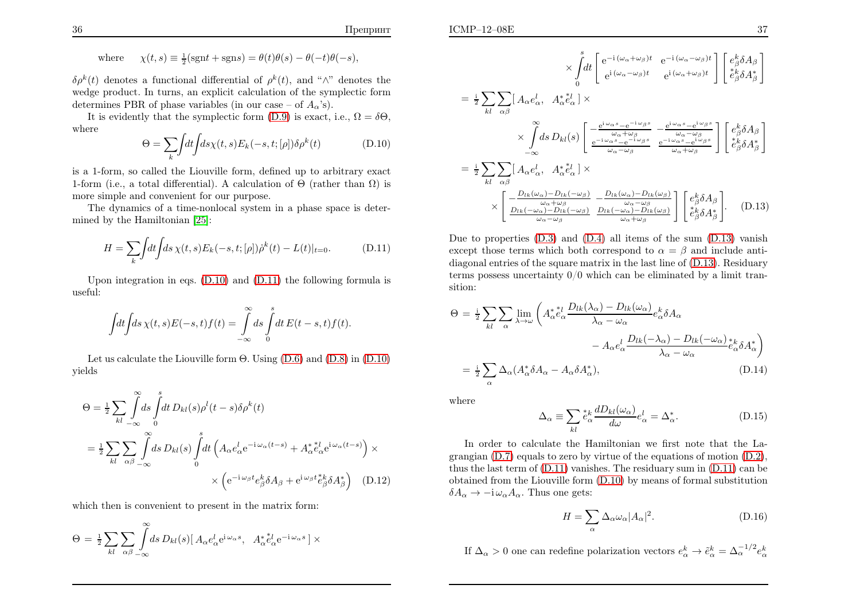where 
$$
\chi(t,s) \equiv \frac{1}{2}(\text{sgn}t + \text{sgn}s) = \theta(t)\theta(s) - \theta(-t)\theta(-s)
$$
,

 $\delta \rho^k(t)$  denotes a functional differential of  $\rho^k(t)$ , and " $\wedge$ " denotes the wedge product. In turns, an explicit calculation of the symplectic formdetermines PBR of phase variables (in our case – of  $A_{\alpha}$ 's).

It is evidently that the symplectic form [\(D.9\)](#page-18-4) is exact, i.e.,  $\Omega = \delta \Theta$ , where

<span id="page-19-2"></span>
$$
\Theta = \sum_{k} \int dt \int ds \chi(t, s) E_k(-s, t; [\rho]) \delta \rho^k(t)
$$
 (D.10)

is <sup>a</sup> 1-form, so called the Liouville form, defined up to arbitrary exact1-form (i.e., a total differential). A calculation of  $\Theta$  (rather than  $\Omega$ ) is more simple and convenient for our purpose.

The dynamics of <sup>a</sup> time-nonlocal system in <sup>a</sup> <sup>p</sup>hase space is determined by the Hamiltonian [\[25\]](#page-22-10):

$$
H = \sum_{k} \int dt \int ds \, \chi(t, s) E_k(-s, t; [\rho]) \dot{\rho}^k(t) - L(t)|_{t=0}.
$$
 (D.11)

Upon integration in eqs. [\(D.10\)](#page-19-0) and [\(D.11\)](#page-19-1) the following formula isuseful:

$$
\int dt \int ds \,\chi(t,s)E(-s,t)f(t) = \int_{-\infty}^{\infty} ds \int_{0}^{s} dt E(t-s,t)f(t).
$$

Let us calculate the Liouville form  $\Theta$ . Using [\(D.6\)](#page-18-3) and [\(D.8\)](#page-18-5) in [\(D.10\)](#page-19-0) yields

$$
\Theta = \frac{1}{2} \sum_{kl} \int_{-\infty}^{\infty} ds \int_{0}^{s} dt \, D_{kl}(s) \rho^{l}(t-s) \delta \rho^{k}(t)
$$
  

$$
= \frac{1}{2} \sum_{kl} \sum_{\alpha\beta} \int_{-\infty}^{\infty} ds \, D_{kl}(s) \int_{0}^{s} dt \left( A_{\alpha} e_{\alpha}^{l} e^{-i\omega_{\alpha}(t-s)} + A_{\alpha}^{*} e_{\alpha}^{l} e^{i\omega_{\alpha}(t-s)} \right) \times
$$
  

$$
\times \left( e^{-i\omega_{\beta}t} e_{\beta}^{k} \delta A_{\beta} + e^{i\omega_{\beta}t} e_{\beta}^{k} \delta A_{\beta}^{*} \right) \quad (D.12)
$$

which then is convenient to present in the matrix form:

$$
\Theta = \frac{1}{2} \sum_{kl} \sum_{\alpha\beta} \int_{-\infty}^{\infty} ds \, D_{kl}(s) \left[ A_{\alpha} e_{\alpha}^l e^{i \omega_{\alpha} s}, \quad A_{\alpha}^* e_{\alpha}^l e^{-i \omega_{\alpha} s} \right] \times
$$

<span id="page-19-3"></span>
$$
\times \int_{0}^{s} dt \left[ e^{-i(\omega_{\alpha} + \omega_{\beta})t} e^{-i(\omega_{\alpha} - \omega_{\beta})t} \right] \left[ e^k_{\beta} \delta A_{\beta} \right]
$$
  
\n
$$
= \frac{1}{2} \sum_{kl} \sum_{\alpha\beta} \left[ A_{\alpha} e^l_{\alpha}, A^*_{\alpha} e^l_{\alpha} \right] \times
$$
  
\n
$$
\times \int_{-\infty}^{\infty} ds \, D_{kl}(s) \left[ e^{-i(\omega_{\alpha} + \omega_{\beta})t} e^{-i(\omega_{\alpha} + \omega_{\beta})t} \right] \left[ e^k_{\beta} \delta A_{\beta} \right]
$$
  
\n
$$
= \frac{1}{2} \sum_{kl} \sum_{\alpha\beta} \left[ A_{\alpha} e^l_{\alpha}, A^*_{\alpha} e^l_{\alpha} \right] \times
$$
  
\n
$$
= \frac{1}{2} \sum_{kl} \sum_{\alpha\beta} \left[ A_{\alpha} e^l_{\alpha}, A^*_{\alpha} e^l_{\alpha} \right] \times
$$
  
\n
$$
\times \left[ \frac{D_{lk}(\omega_{\alpha}) - D_{lk}(-\omega_{\beta})}{\omega_{\alpha} + \omega_{\beta}} - \frac{D_{lk}(\omega_{\alpha}) - D_{lk}(\omega_{\beta})}{\omega_{\alpha} + \omega_{\beta}} \right] \left[ e^k_{\beta} \delta A_{\beta} \right]
$$
  
\n
$$
\times \left[ \frac{D_{lk}(\omega_{\alpha}) - D_{lk}(-\omega_{\beta})}{\omega_{\alpha} + \omega_{\beta}} - \frac{D_{lk}(\omega_{\alpha}) - D_{lk}(\omega_{\beta})}{\omega_{\alpha} + \omega_{\beta}} \right] \left[ e^k_{\beta} \delta A_{\beta} \right]. \quad (D.13)
$$

<span id="page-19-5"></span><span id="page-19-1"></span><span id="page-19-0"></span>Due to properties  $(D.3)$  and  $(D.4)$  all items of the sum  $(D.13)$  vanish except those terms which both correspond to  $\alpha = \beta$  and include anti- diagonal entries of the square matrix in the last line of [\(D.13\)](#page-19-2). Residuaryterms possess uncertainty  $0/0$  which can be eliminated by a limit transition:

$$
\Theta = \frac{1}{2} \sum_{kl} \sum_{\alpha} \lim_{\lambda \to \omega} \left( A_{\alpha}^{*} e_{\alpha}^{l} \frac{D_{lk}(\lambda_{\alpha}) - D_{lk}(\omega_{\alpha})}{\lambda_{\alpha} - \omega_{\alpha}} e_{\alpha}^{k} \delta A_{\alpha} \right) - A_{\alpha} e_{\alpha}^{l} \frac{D_{lk}(-\lambda_{\alpha}) - D_{lk}(-\omega_{\alpha})}{\lambda_{\alpha} - \omega_{\alpha}} e_{\alpha}^{k} \delta A_{\alpha}^{*} \right)
$$

$$
= \frac{1}{2} \sum_{\alpha} \Delta_{\alpha} (A_{\alpha}^{*} \delta A_{\alpha} - A_{\alpha} \delta A_{\alpha}^{*}), \qquad (D.14)
$$

where

$$
\Delta_{\alpha} \equiv \sum_{kl} \stackrel{*}{e}_{\alpha}^{k} \frac{dD_{kl}(\omega_{\alpha})}{d\omega} e_{\alpha}^{l} = \Delta_{\alpha}^{*}.
$$
\n(D.15)

<span id="page-19-4"></span>In order to calculate the Hamiltonian we first note that the La grangian [\(D.7\)](#page-18-2) equals to zero by virtue of the equations of motion [\(D.2\)](#page-18-0), thus the last term of [\(D.11\)](#page-19-1) vanishes. The residuary sum in [\(D.11\)](#page-19-1) can be obtained from the Liouville form [\(D.10\)](#page-19-0) by means of formal substitution $\delta A_{\alpha} \rightarrow -\mathrm{i}\,\omega_{\alpha} A_{\alpha}$ . Thus one gets:

$$
H = \sum_{\alpha} \Delta_{\alpha} \omega_{\alpha} |A_{\alpha}|^2.
$$
 (D.16)

If  $\Delta_{\alpha} > 0$  one can redefine polarization vectors  $e_{\alpha}^{k} \to \tilde{e}_{\alpha}^{k} = \Delta_{\alpha}^{-1/2} e_{\alpha}^{k}$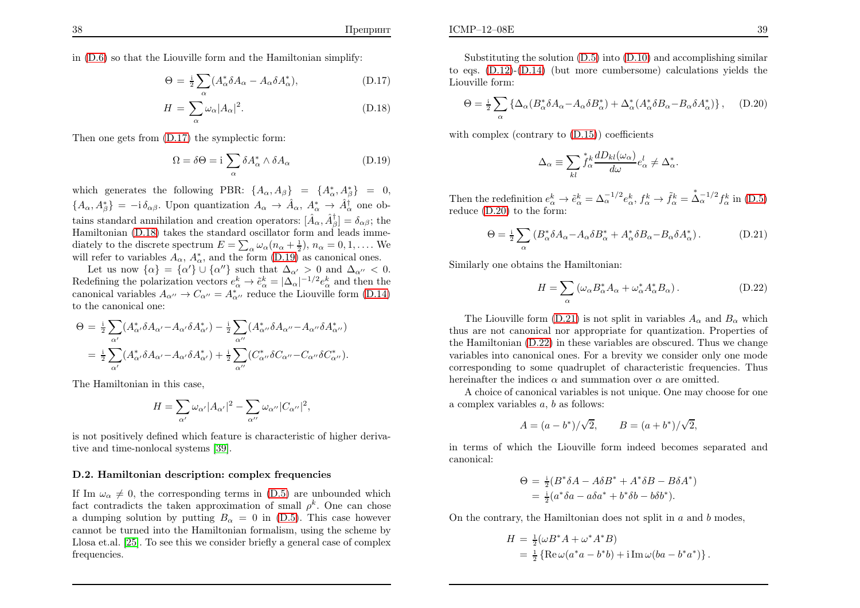in [\(D.6\)](#page-18-3) so that the Liouville form and the Hamiltonian simplify:

$$
\Theta = \frac{1}{2} \sum_{\alpha} (A_{\alpha}^* \delta A_{\alpha} - A_{\alpha} \delta A_{\alpha}^*), \tag{D.17}
$$

$$
H = \sum_{\alpha} \omega_{\alpha} |A_{\alpha}|^2.
$$
 (D.18)

Then one gets from [\(D.17\)](#page-20-0) the symplectic form:

$$
\Omega = \delta \Theta = i \sum_{\alpha} \delta A_{\alpha}^* \wedge \delta A_{\alpha}
$$
 (D.19)

which generates the following PBR:  $\{A_{\alpha}, A_{\beta}\} = \{A_{\alpha}^*, A_{\beta}^*\} = 0,$  $\{A_{\alpha}, A_{\beta}^*\} = -i \delta_{\alpha\beta}$ . Upon quantization  $A_{\alpha} \to \hat{A}_{\alpha}, A_{\alpha}^* \to \hat{A}_{\alpha}^{\dagger}$  one obtains standard annihilation and creation operators:  $[\hat{A}_{\alpha}, \hat{A}_{\beta}^{\dagger}] = \delta_{\alpha\beta}$ ; the Hamiltonian [\(D.18\)](#page-20-0) takes the standard oscillator form and leads immediately to the discrete spectrum  $E = \sum_{\alpha} \omega_{\alpha} (n_{\alpha} + \frac{1}{2}), n_{\alpha} = 0, 1, \dots$  We will refer to variables  $A_{\alpha}$ ,  $A_{\alpha}^{*}$ , and the form [\(D.19\)](#page-20-2) as canonical ones.

Let us now  $\{\alpha\} = \{\alpha'\}\cup\{\alpha''\}$  such that  $\Delta_{\alpha'} > 0$  and  $\Delta_{\alpha''} < 0$ . Redefining the polarization vectors  $e^k_\alpha \to \tilde{e}^k_\alpha = |\Delta_\alpha|^{-1/2} e^k_\alpha$  and then the canonical variables  $A_{\alpha\beta} \to C_{\alpha\beta} = A^*$  reduce the Liouville form (D 14) canonical variables  $A_{\alpha^{\prime\prime}} \to C_{\alpha^{\prime\prime}} = A^*_{\alpha^{\prime\prime}}$  reduce the Liouville form [\(D.14\)](#page-19-3) to the canonical one:

$$
\Theta = \frac{1}{2} \sum_{\alpha'} (A^*_{\alpha'} \delta A_{\alpha'} - A_{\alpha'} \delta A^*_{\alpha'}) - \frac{1}{2} \sum_{\alpha''} (A^*_{\alpha''} \delta A_{\alpha''} - A_{\alpha''} \delta A^*_{\alpha''})
$$
  

$$
= \frac{1}{2} \sum_{\alpha'} (A^*_{\alpha'} \delta A_{\alpha'} - A_{\alpha'} \delta A^*_{\alpha'}) + \frac{1}{2} \sum_{\alpha''} (C^*_{\alpha''} \delta C_{\alpha''} - C_{\alpha''} \delta C^*_{\alpha''}).
$$

The Hamiltonian in this case,

$$
H = \sum_{\alpha'} \omega_{\alpha'} |A_{\alpha'}|^2 - \sum_{\alpha''} \omega_{\alpha''} |C_{\alpha''}|^2,
$$

is not positively defined which feature is characteristic of higher derivative and time-nonlocal systems [\[39\]](#page-22-24).

#### D.2. Hamiltonian description: complex frequencies

If Im  $\omega_{\alpha} \neq 0$ , the corresponding terms in [\(D.5\)](#page-18-1) are unbounded which fact contradicts the taken approximation of small  $\rho^k$ . One can chose a dumping solution by putting  $B_{\alpha} = 0$  in [\(D.5\)](#page-18-1). This case however cannot be turned into the Hamiltonian formalism, using the scheme by Llosa et.al. [\[25\]](#page-22-10). To see this we consider briefly <sup>a</sup> genera<sup>l</sup> case of complexfrequencies.

$$
\Theta = \frac{1}{2} \sum_{\alpha} \left\{ \Delta_{\alpha} (B_{\alpha}^* \delta A_{\alpha} - A_{\alpha} \delta B_{\alpha}^*) + \Delta_{\alpha}^* (A_{\alpha}^* \delta B_{\alpha} - B_{\alpha} \delta A_{\alpha}^*) \right\}, \quad (D.20)
$$

with complex (contrary to  $(D.15)$ ) coefficients

<span id="page-20-4"></span><span id="page-20-3"></span>
$$
\Delta_{\alpha} \equiv \sum_{kl} \overset{*}{f}_{\alpha} \frac{dD_{kl}(\omega_{\alpha})}{d\omega} e_{\alpha}^{l} \neq \Delta_{\alpha}^{*}.
$$

Then the redefinition  $e_{\alpha}^{k} \to \tilde{e}_{\alpha}^{k} = \Delta_{\alpha}^{-1/2} e_{\alpha}^{k}, f_{\alpha}^{k} \to \tilde{f}_{\alpha}^{k} =$ <br>reduce (D 20) to the form:  $\mathring{\Delta}_{\alpha}^{-1/2} f_{\alpha}^{k}$  in [\(D.5\)](#page-18-1) reduce [\(D.20\)](#page-20-3) to the form:

<span id="page-20-1"></span>
$$
\Theta = \frac{1}{2} \sum_{\alpha} \left( B_{\alpha}^* \delta A_{\alpha} - A_{\alpha} \delta B_{\alpha}^* + A_{\alpha}^* \delta B_{\alpha} - B_{\alpha} \delta A_{\alpha}^* \right). \tag{D.21}
$$

Similarly one obtains the Hamiltonian:

<span id="page-20-2"></span><span id="page-20-0"></span>
$$
H = \sum_{\alpha} \left( \omega_{\alpha} B_{\alpha}^* A_{\alpha} + \omega_{\alpha}^* A_{\alpha}^* B_{\alpha} \right). \tag{D.22}
$$

The Liouville form [\(D.21\)](#page-20-4) is not split in variables  $A_{\alpha}$  and  $B_{\alpha}$  which thus are not canonical nor appropriate for quantization. Properties of the Hamiltonian [\(D.22\)](#page-20-1) in these variables are obscured. Thus we change variables into canonical ones. For <sup>a</sup> brevity we consider only one mode corresponding to some quadruplet of characteristic frequencies. Thushereinafter the indices  $\alpha$  and summation over  $\alpha$  are omitted.

 A choice of canonical variables is not unique. One may choose for one a complex variables  $a, b$  as follows:

$$
A = (a - b^*)/\sqrt{2},
$$
  $B = (a + b^*)/\sqrt{2},$ 

in terms of which the Liouville form indeed becomes separated andcanonical:

$$
\Theta = \frac{1}{2}(B^*\delta A - A\delta B^* + A^*\delta B - B\delta A^*)
$$
  
= 
$$
\frac{1}{2}(a^*\delta a - a\delta a^* + b^*\delta b - b\delta b^*).
$$

On the contrary, the Hamiltonian does not split in  $a$  and  $b$  modes,

$$
H = \frac{1}{2}(\omega B^* A + \omega^* A^* B)
$$
  
=  $\frac{1}{2}$ {Re $\omega$ (a^\* a - b^\* b) + i Im $\omega$ (ba - b^\* a^\*)}.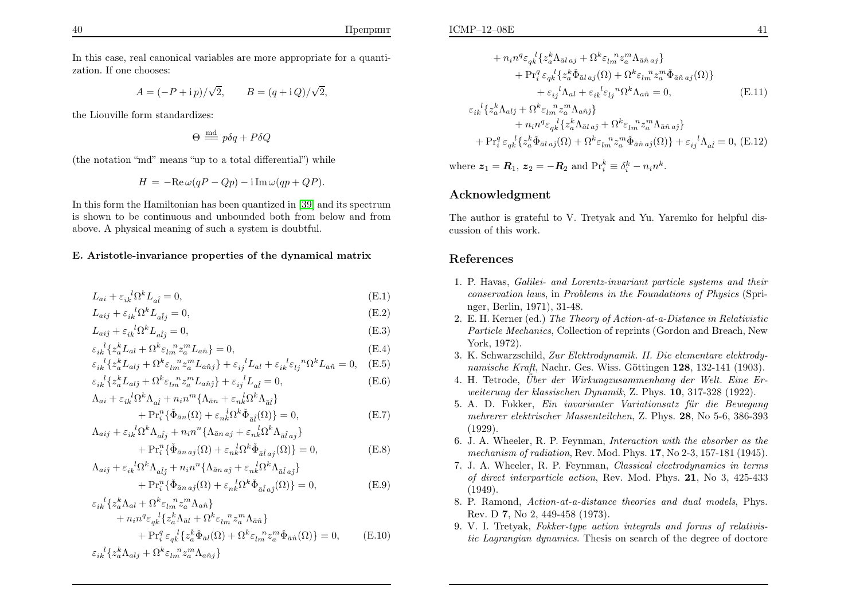In this case, real canonical variables are more appropriate for <sup>a</sup> quantization. If one chooses:

$$
A = (-P + i p) / \sqrt{2},
$$
  $B = (q + i Q) / \sqrt{2},$ 

the Liouville form standardizes:

<span id="page-21-6"></span>
$$
\Theta \stackrel{\text{md}}{=} p\delta q + P\delta Q
$$

(the notation "md" means "up to <sup>a</sup> total differential") while

$$
H = -\text{Re}\,\omega(qP - Qp) - \text{i}\,\text{Im}\,\omega(qp + QP).
$$

In this form the Hamiltonian has been quantized in [\[39\]](#page-22-24) and its spectrum is shown to be continuous and unbounded both from below and fromabove. <sup>A</sup> <sup>p</sup>hysical meaning of such <sup>a</sup> system is doubtful.

### E. Aristotle-invariance properties of the dynamical matri x

$$
L_{ai} + \varepsilon_{ik}{}^{l} \Omega^{k} L_{a\hat{l}} = 0, \tag{E.1}
$$

$$
L_{aij} + \varepsilon_{ik}^{\ \ l}\Omega^k L_{a\hat{l}j} = 0,\tag{E.2}
$$

$$
L_{aij} + \varepsilon_{ik}^{\ \ l}\Omega^k L_{a\hat{l}\hat{j}} = 0,\tag{E.3}
$$

$$
\varepsilon_{ik}{}^{l}\{z_a^k L_{al} + \Omega^k \varepsilon_{lm}{}^n z_a^m L_{an}\} = 0,
$$
\n(E.4)

$$
\varepsilon_{ik}^{l}\left\{z_{a}^{k}L_{alj}+\Omega^{k}\varepsilon_{lm}^{n}z_{a}^{m}L_{a\hat{n}j}\right\}+\varepsilon_{ij}^{l}L_{al}+\varepsilon_{ik}^{l}\varepsilon_{lj}^{n}\Omega^{k}L_{a\hat{n}}=0,\quad\text{(E.5)}
$$

$$
\varepsilon_{ik}^{l}\left\{z_{a}^{k}L_{alj} + \Omega^{k}\varepsilon_{lm}^{n}z_{a}^{m}L_{a\hat{n}j}\right\} + \varepsilon_{ij}^{l}L_{a\hat{l}} = 0, \tag{E.6}
$$

$$
\Lambda_{ai} + \varepsilon_{ik}{}^{l} \Omega^{k} \Lambda_{a\hat{l}} + n_{i} n^{m} \{ \Lambda_{\bar{a}n} + \varepsilon_{nk}{}^{l} \Omega^{k} \Lambda_{\bar{a}\hat{l}} \} + \Pr_{i}^{n} \{ \check{\Phi}_{\bar{a}n}(\Omega) + \varepsilon_{nk}{}^{l} \Omega^{k} \check{\Phi}_{\bar{a}\hat{l}}(\Omega) \} = 0,
$$
\n(E.7)

$$
\Lambda_{aij} + \varepsilon_{ik}{}^l \Omega^k \Lambda_{a\hat{i}j} + n_i n^n \{ \Lambda_{\bar{a}n\,aj} + \varepsilon_{nk}{}^l \Omega^k \Lambda_{\bar{a}\hat{l}\,aj} \}
$$

$$
+ \Pr_i^n \{ \check{\Phi}_{\bar{a}n \, aj}(\Omega) + \varepsilon_{nk}^{\ \ l} \Omega^k \check{\Phi}_{\bar{a}\bar{i} \, aj}(\Omega) \} = 0, \tag{E.8}
$$

$$
\Lambda_{aij} + \varepsilon_{ik}{}^{l} \Omega^{k} \Lambda_{a\hat{i}j} + n_{i} n^{n} \{ \Lambda_{\bar{a}n a\hat{j}} + \varepsilon_{nk}{}^{l} \Omega^{k} \Lambda_{\bar{a}\hat{i} a\hat{j}} \} + \Pr_{i}^{n} \{ \check{\Phi}_{\bar{a}n a\hat{j}}(\Omega) + \varepsilon_{nk}{}^{l} \Omega^{k} \check{\Phi}_{\bar{a}\hat{i} a\hat{j}}(\Omega) \} = 0,
$$
(E.9)

$$
\varepsilon_{ik}^{l} \{ z_a^k \Lambda_{al} + \Omega^k \varepsilon_{lm}^{n} z_a^m \Lambda_{\hat{a}\hat{n}} \} \n+ n_i n^q \varepsilon_{qk}^{l} \{ z_a^k \Lambda_{\bar{a}l} + \Omega^k \varepsilon_{lm}^{n} z_a^m \Lambda_{\bar{a}\hat{n}} \} \n+ \Pr_i^q \varepsilon_{qk}^{l} \{ z_a^k \Phi_{\bar{a}l}(\Omega) + \Omega^k \varepsilon_{lm}^{n} z_a^m \Phi_{\bar{a}\hat{n}}(\Omega) \} = 0, \qquad (E.10)
$$
\n
$$
\varepsilon_{ik}^{l} \{ z_a^k \Lambda_{alj} + \Omega^k \varepsilon_{lm}^{n} z_a^m \Lambda_{\hat{a}\hat{n}j} \}
$$

$$
+ n_i n^q \varepsilon_{qk}^{\ l} \{ z_a^k \Lambda_{\bar{a}l\,aj} + \Omega^k \varepsilon_{lm}^{\ m} z_a^m \Lambda_{\bar{a}\hat{n}\,aj} \} + \Pr_i^q \varepsilon_{qk}^{\ l} \{ z_a^k \check{\Phi}_{\bar{a}l\,aj}(\Omega) + \Omega^k \varepsilon_{lm}^{\ m} z_a^m \check{\Phi}_{\bar{a}\hat{n}\,aj}(\Omega) \} + \varepsilon_{ij}^{\ l} \Lambda_{al} + \varepsilon_{ik}^{\ l} \varepsilon_{lj}^{\ m} \Omega^k \Lambda_{a\hat{n}} = 0,
$$
 (E.11)

<span id="page-21-7"></span><span id="page-21-2"></span><span id="page-21-1"></span><span id="page-21-0"></span>
$$
\varepsilon_{ik}^{k}\left\{z_{a}^{k}\Lambda_{alj} + \Omega^{k}\varepsilon_{lm}^{m}z_{a}^{m}\Lambda_{a\hat{n}j}\right\} \n+ n_{i}n^{q}\varepsilon_{qk}^{l}\left\{z_{a}^{k}\Lambda_{\bar{a}l\,a\hat{j}} + \Omega^{k}\varepsilon_{lm}^{m}z_{a}^{m}\Lambda_{\bar{a}\hat{n}\,a\hat{j}}\right\} \n+ \Pr_{i}^{q} \varepsilon_{qk}^{l}\left\{z_{a}^{k}\tilde{\Phi}_{\bar{a}l\,a\hat{j}}(\Omega) + \Omega^{k}\varepsilon_{lm}^{m}z_{a}^{m}\tilde{\Phi}_{\bar{a}\hat{n}\,a\hat{j}}(\Omega)\right\} + \varepsilon_{ij}^{l}\Lambda_{a\hat{l}} = 0, \quad (E.12)
$$

<span id="page-21-5"></span><span id="page-21-4"></span><span id="page-21-3"></span>where  $z_1 = R_1$ ,  $z_2 = -R_2$  and  $\Pr_i^k \equiv \delta_i^k - n_i n^k$ .

### Acknowledgment

The author is grateful to V. Tretyak and Yu. Yaremko for helpful discussion of this work.

### References

- 1. P. Havas, Galilei- and Lorentz-invariant particle systems and their conservation laws, in Problems in the Foundations of Physics (Springer, Berlin, 1971), 31-48.
- 2. E. H. Kerner (ed.) The Theory of Action-at-a-Distance in Relativistic Particle Mechanics, Collection of reprints (Gordon and Breach, NewYork, 1972).
- 3. K. Schwarzschild, Zur Elektrodynamik. II. Die elementare elektrodynamische Kraft, Nachr. Ges. Wiss. Göttingen  $128$ , 132-141 (1903).
- $4.$  H. Tetrode,  $\ddot{U}$ ber der Wirkungzusammenhang der Welt. Eine Erweiterung der klassischen Dynamik, Z. Phys. <sup>10</sup>, 317-328 (1922).
- 5. A. D. Fokker, Ein invarianter Variationsatz für die Bewegung mehrerer elektrischer Massenteilchen, Z. Phys. <sup>28</sup>, No 5-6, 386-393(1929).
- 6. J. A. Wheeler, R. P. Feynman, Interaction with the absorber as themechanism of radiation, Rev. Mod. Phys. <sup>17</sup>, No 2-3, 157-181 (1945).
- 7. J. A. Wheeler, R. P. Feynman, Classical electrodynamics in terms of direct interparticle action, Rev. Mod. Phys. <sup>21</sup>, No 3, 425-433(1949).
- 8. P. Ramond, Action-at-a-distance theories and dual models, Phys. Rev. D **7**, No 2, 449-458 (1973).
- 9. V. I. Tretyak, Fokker-type action integrals and forms of relativistic Lagrangian dynamics. Thesis on search of the degree of doctore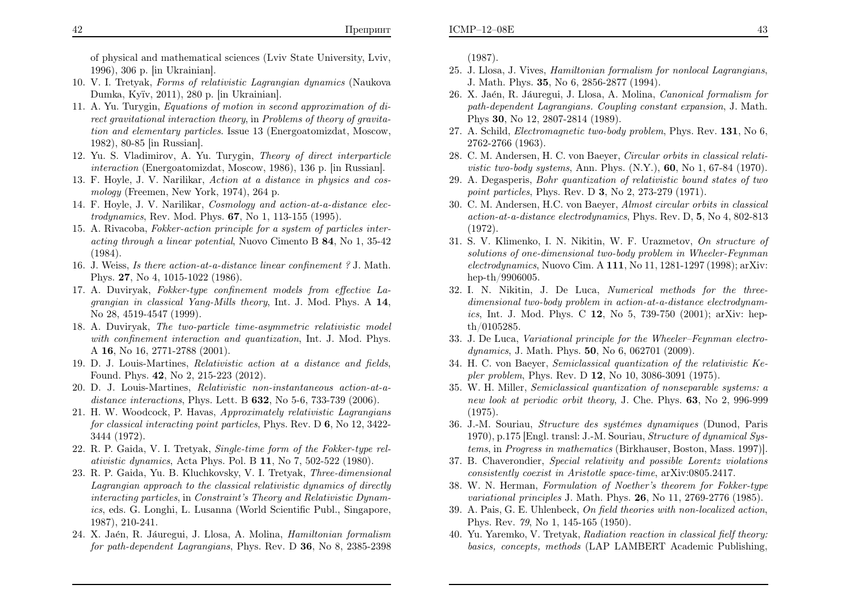of <sup>p</sup>hysical and mathematical sciences (Lviv State University, Lviv, 1996), <sup>306</sup> p. [in Ukrainian].

- 10. V. I. Tretyak, Forms of relativistic Lagrangian dynamics (NaukovaDumka, Ky¨ıv, 2011), <sup>280</sup> p. [in Ukrainian].
- 11. A. Yu. Turygin, Equations of motion in second approximation of direct gravitational interaction theory, in Problems of theory of gravitation and elementary particles. Issue <sup>13</sup> (Energoatomizdat, Moscow, 1982), 80-85 [in Russian].
- 12. Yu. S. Vladimirov, A. Yu. Turygin, Theory of direct interparticleinteraction (Energoatomizdat, Moscow, 1986), <sup>136</sup> p. [in Russian].
- 13. F. Hoyle, J. V. Narilikar, Action at <sup>a</sup> distance in physics and cosmology (Freemen, New York, 1974), <sup>264</sup> p.
- 14. F. Hoyle, J. V. Narilikar, Cosmology and action-at-a-distance electrodynamics, Rev. Mod. Phys. <sup>67</sup>, No 1, 113-155 (1995).
- 15. A. Rivacoba, Fokker-action principle for <sup>a</sup> system of particles interacting through a linear potential, Nuovo Cimento B **84**, No 1, 35-42 (1984).
- 16. J. Weiss, Is there action-at-a-distance linear confinement ? J. Math. Phys. <sup>27</sup>, No 4, 1015-1022 (1986).
- 17. A. Duviryak, Fokker-type confinement models from effective Lagrangian in classical Yang-Mills theory, Int. J. Mod. Phys. A 14,<br>N. 22, 4512, 4547, 4200) No 28, 4519-4547 (1999).
- 18. A. Duviryak, The two-particle time-asymmetric relativistic model with confinement interaction and quantization, Int. J. Mod. Phys. A 16, No 16, 2771-2788 (2001).
- 19. D. J. Louis-Martines, Relativistic action at <sup>a</sup> distance and fields, Found. Phys. <sup>42</sup>, No 2, 215-223 (2012).
- 20. D. J. Louis-Martines, Relativistic non-instantaneous action-at-adistance interactions, Phys. Lett. B  $632$ , No 5-6, 733-739 (2006).
- 21. H. W. Woodcock, P. Havas, Approximately relativistic Lagrangiansfor classical interacting point particles, Phys. Rev. D  $6$ , No 12, 3422-<br>2444 (1979) <sup>3444</sup> (1972).
- 22. R. P. Gaida, V. I. Tretyak, Single-time form of the Fokker-type relativistic dynamics, Acta Phys. Pol. B 11, No 7, 502-522 (1980).
- 23. R. P. Gaida, Yu. B. Kluchkovsky, V. I. Tretyak, Three-dimensional Lagrangian approach to the classical relativistic dynamics of directly interacting particles, in Constraint's Theory and Relativistic Dynamics, eds. G. Longhi, L. Lusanna (World Scientific Publ., Singapore, 1987), 210-241.
- 24. X. Jaén, R. Jáuregui, J. Llosa, A. Molina, *Hamiltonian formalism* for path-dependent Lagrangians, Phys. Rev. D **36**, No 8, 2385-2398

<span id="page-22-14"></span><span id="page-22-13"></span><span id="page-22-12"></span><span id="page-22-11"></span><span id="page-22-10"></span><span id="page-22-2"></span><span id="page-22-1"></span><span id="page-22-0"></span>(1987).

- 25. J. Llosa, J. Vives, Hamiltonian formalism for nonlocal Lagrangians, J. Math. Phys. <sup>35</sup>, No 6, 2856-2877 (1994).
- 26. X. Jaén, R. Jáuregui, J. Llosa, A. Molina, Canonical formalism for path-dependent Lagrangians. Coupling constant expansion, J. Math. Phys <sup>30</sup>, No 12, 2807-2814 (1989).
- <span id="page-22-25"></span><span id="page-22-24"></span><span id="page-22-23"></span><span id="page-22-22"></span><span id="page-22-21"></span><span id="page-22-20"></span><span id="page-22-19"></span><span id="page-22-18"></span><span id="page-22-17"></span><span id="page-22-16"></span><span id="page-22-15"></span><span id="page-22-9"></span><span id="page-22-8"></span><span id="page-22-7"></span><span id="page-22-6"></span><span id="page-22-5"></span><span id="page-22-4"></span><span id="page-22-3"></span>27. A. Schild, Electromagnetic two-body problem, Phys. Rev. <sup>131</sup>, No 6, 2762-2766 (1963).
- 28. C. M. Andersen, H. C. von Baeyer, Circular orbits in classical relati*vistic two-body systems, Ann. Phys.*  $(N.Y.)$ , **60**, No 1, 67-84 (1970).
- 29. A. Degasperis, Bohr quantization of relativistic bound states of twopoint particles, Phys. Rev. D  $3$ , No  $2$ , 273-279 (1971).
- 30. C. M. Andersen, H.C. von Baeyer, Almost circular orbits in classical action-at-a-distance electrodynamics, Phys. Rev. D, <sup>5</sup>, No 4, 802-813(1972).
- 31. S. V. Klimenko, I. N. Nikitin, W. F. Urazmetov, On structure of solutions of one-dimensional two-body problem in Wheeler-Feynmanelectrodynamics, Nuovo Cim. A 111, No 11, 1281-1297 (1998); arXiv: hep-th/9906005.
- 32. I. N. Nikitin, J. De Luca, Numerical methods for the threedimensional two-body problem in action-at-a-distance electrodynam*ics*, Int. J. Mod. Phys. C 12, No 5, 739-750 (2001); arXiv: hepth/0105285.
- 33. J. De Luca, Variational principle for the Wheeler–Feynman electrodynamics, J. Math. Phys. **50**, No 6, 062701 (2009).
- 34. H. C. von Baeyer, Semiclassical quantization of the relativistic Kepler problem, Phys. Rev. D **12**, No 10, 3086-3091 (1975).
- 35. W. H. Miller, Semiclassical quantization of nonseparable systems: <sup>a</sup> new look at periodic orbit theory, J. Che. Phys. <sup>63</sup>, No 2, 996-999(1975).
- 36. J.-M. Souriau, *Structure des systémes dynamiques* (Dunod, Paris 1970), p.<sup>175</sup> [Engl. transl: J.-M. Souriau, Structure of dynamical Systems, in Progress in mathematics (Birkhauser, Boston, Mass. 1997)].
- 37. B. Chaverondier, Special relativity and possible Lorentz violationsconsistently coexist in Aristotle space-time, arXiv:0805.2417.
- 38. W. N. Herman, Formulation of Noether's theorem for Fokker-typevariational principles J. Math. Phys. <sup>26</sup>, No 11, 2769-2776 (1985).
- 39. A. Pais, G. E. Uhlenbeck, On field theories with non-localized action, Phys. Rev. <sup>79</sup>, No 1, 145-165 (1950).
- 40. Yu. Yaremko, V. Tretyak, Radiation reaction in classical fielf theory: basics, concepts, methods (LAP LAMBERT Academic Publishing,